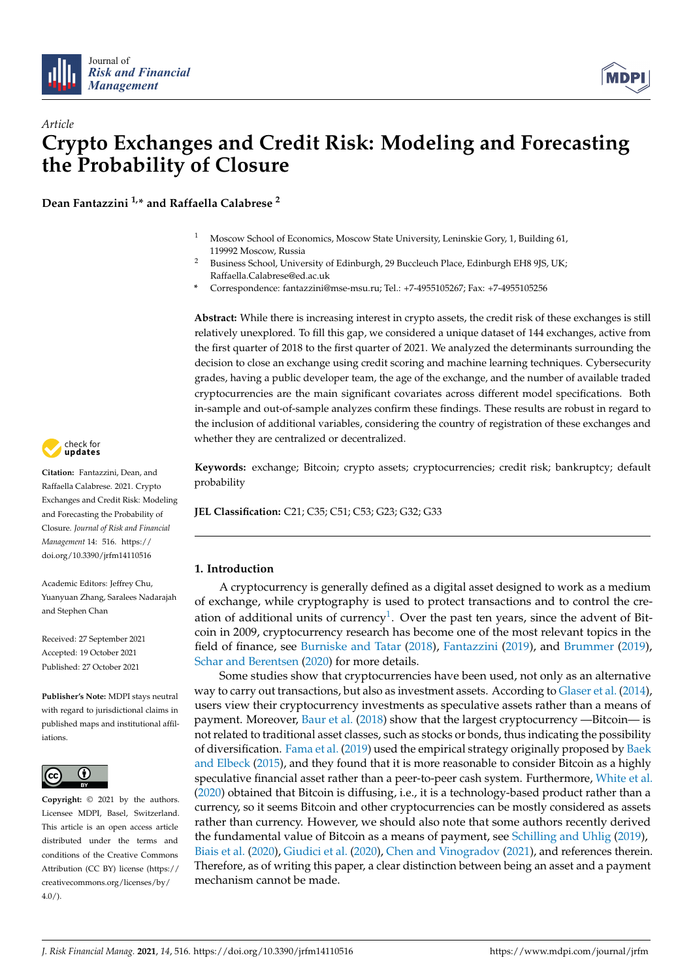



# *Article* **Crypto Exchanges and Credit Risk: Modeling and Forecasting the Probability of Closure**

**Dean Fantazzini 1,\* and Raffaella Calabrese <sup>2</sup>**

- <sup>1</sup> Moscow School of Economics, Moscow State University, Leninskie Gory, 1, Building 61, 119992 Moscow, Russia
- <sup>2</sup> Business School, University of Edinburgh, 29 Buccleuch Place, Edinburgh EH8 9JS, UK; Raffaella.Calabrese@ed.ac.uk
- **\*** Correspondence: fantazzini@mse-msu.ru; Tel.: +7-4955105267; Fax: +7-4955105256

**Abstract:** While there is increasing interest in crypto assets, the credit risk of these exchanges is still relatively unexplored. To fill this gap, we considered a unique dataset of 144 exchanges, active from the first quarter of 2018 to the first quarter of 2021. We analyzed the determinants surrounding the decision to close an exchange using credit scoring and machine learning techniques. Cybersecurity grades, having a public developer team, the age of the exchange, and the number of available traded cryptocurrencies are the main significant covariates across different model specifications. Both in-sample and out-of-sample analyzes confirm these findings. These results are robust in regard to the inclusion of additional variables, considering the country of registration of these exchanges and whether they are centralized or decentralized.

**Keywords:** exchange; Bitcoin; crypto assets; cryptocurrencies; credit risk; bankruptcy; default probability

**JEL Classification:** C21; C35; C51; C53; G23; G32; G33

# **1. Introduction**

<span id="page-0-0"></span>A cryptocurrency is generally defined as a digital asset designed to work as a medium of exchange, while cryptography is used to protect transactions and to control the cre-ation of additional units of currency<sup>[1](#page-19-0)</sup>. Over the past ten years, since the advent of Bitcoin in 2009, cryptocurrency research has become one of the most relevant topics in the field of finance, see [Burniske and Tatar](#page-20-0) [\(2018\)](#page-20-0), [Fantazzini](#page-21-0) [\(2019\)](#page-21-0), and [Brummer](#page-20-1) [\(2019\)](#page-20-1), [Schar and Berentsen](#page-22-0) [\(2020\)](#page-22-0) for more details.

Some studies show that cryptocurrencies have been used, not only as an alternative way to carry out transactions, but also as investment assets. According to [Glaser et al.](#page-21-1) [\(2014\)](#page-21-1), users view their cryptocurrency investments as speculative assets rather than a means of payment. Moreover, [Baur et al.](#page-20-2) [\(2018\)](#page-20-2) show that the largest cryptocurrency —Bitcoin— is not related to traditional asset classes, such as stocks or bonds, thus indicating the possibility of diversification. [Fama et al.](#page-21-2) [\(2019\)](#page-21-2) used the empirical strategy originally proposed by [Baek](#page-20-3) [and Elbeck](#page-20-3) [\(2015\)](#page-20-3), and they found that it is more reasonable to consider Bitcoin as a highly speculative financial asset rather than a peer-to-peer cash system. Furthermore, [White et al.](#page-22-1) [\(2020\)](#page-22-1) obtained that Bitcoin is diffusing, i.e., it is a technology-based product rather than a currency, so it seems Bitcoin and other cryptocurrencies can be mostly considered as assets rather than currency. However, we should also note that some authors recently derived the fundamental value of Bitcoin as a means of payment, see [Schilling and Uhlig](#page-22-2) [\(2019\)](#page-22-2), [Biais et al.](#page-20-4) [\(2020\)](#page-20-4), [Giudici et al.](#page-21-3) [\(2020\)](#page-21-3), [Chen and Vinogradov](#page-20-5) [\(2021\)](#page-20-5), and references therein. Therefore, as of writing this paper, a clear distinction between being an asset and a payment mechanism cannot be made.



**Citation:** Fantazzini, Dean, and Raffaella Calabrese. 2021. Crypto Exchanges and Credit Risk: Modeling and Forecasting the Probability of Closure. *Journal of Risk and Financial Management* 14: 516. [https://](https://doi.org/10.3390/jrfm14110516) [doi.org/10.3390/jrfm14110516](https://doi.org/10.3390/jrfm14110516)

Academic Editors: Jeffrey Chu, Yuanyuan Zhang, Saralees Nadarajah and Stephen Chan

Received: 27 September 2021 Accepted: 19 October 2021 Published: 27 October 2021

**Publisher's Note:** MDPI stays neutral with regard to jurisdictional claims in published maps and institutional affiliations.



**Copyright:** © 2021 by the authors. Licensee MDPI, Basel, Switzerland. This article is an open access article distributed under the terms and conditions of the Creative Commons Attribution (CC BY) license (https:/[/](https://creativecommons.org/licenses/by/4.0/) [creativecommons.org/licenses/by/](https://creativecommons.org/licenses/by/4.0/)  $4.0/$ ).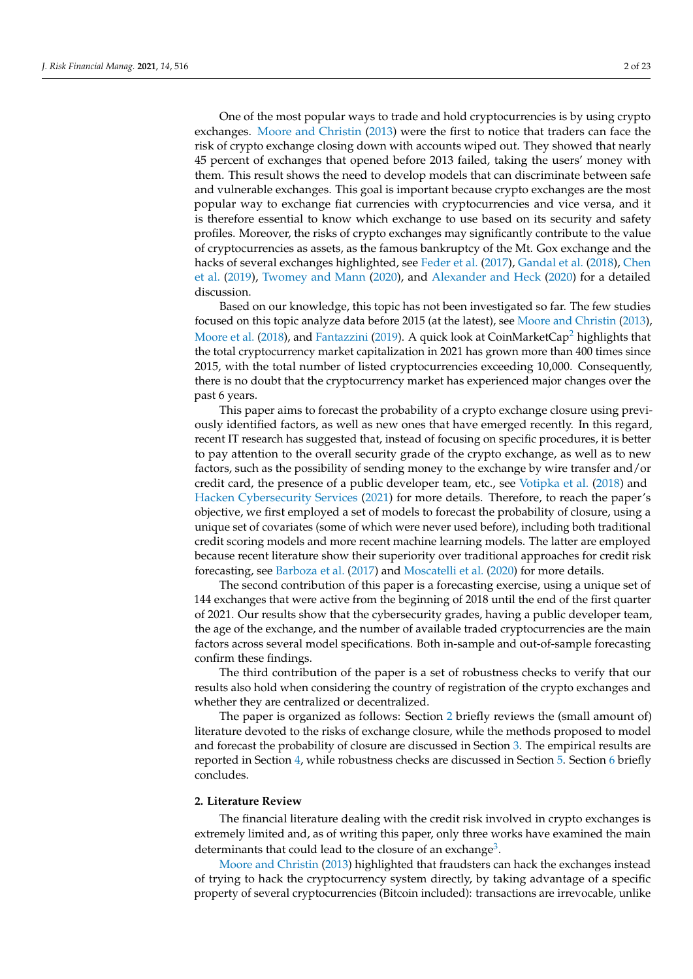One of the most popular ways to trade and hold cryptocurrencies is by using crypto exchanges. [Moore and Christin](#page-22-3) [\(2013\)](#page-22-3) were the first to notice that traders can face the risk of crypto exchange closing down with accounts wiped out. They showed that nearly 45 percent of exchanges that opened before 2013 failed, taking the users' money with them. This result shows the need to develop models that can discriminate between safe and vulnerable exchanges. This goal is important because crypto exchanges are the most popular way to exchange fiat currencies with cryptocurrencies and vice versa, and it is therefore essential to know which exchange to use based on its security and safety profiles. Moreover, the risks of crypto exchanges may significantly contribute to the value of cryptocurrencies as assets, as the famous bankruptcy of the Mt. Gox exchange and the hacks of several exchanges highlighted, see [Feder et al.](#page-21-4) [\(2017\)](#page-21-4), [Gandal et al.](#page-21-5) [\(2018\)](#page-21-5), [Chen](#page-20-6) [et al.](#page-20-6) [\(2019\)](#page-20-6), [Twomey and Mann](#page-22-4) [\(2020\)](#page-22-4), and [Alexander and Heck](#page-20-7) [\(2020\)](#page-20-7) for a detailed discussion.

<span id="page-1-1"></span>Based on our knowledge, this topic has not been investigated so far. The few studies focused on this topic analyze data before 2015 (at the latest), see [Moore and Christin](#page-22-3) [\(2013\)](#page-22-3), [Moore et al.](#page-22-5) [\(2018\)](#page-22-5), and [Fantazzini](#page-21-0) [\(2019\)](#page-21-0). A quick look at CoinMarketCap<sup>[2](#page-19-1)</sup> highlights that the total cryptocurrency market capitalization in 2021 has grown more than 400 times since 2015, with the total number of listed cryptocurrencies exceeding 10,000. Consequently, there is no doubt that the cryptocurrency market has experienced major changes over the past 6 years.

This paper aims to forecast the probability of a crypto exchange closure using previously identified factors, as well as new ones that have emerged recently. In this regard, recent IT research has suggested that, instead of focusing on specific procedures, it is better to pay attention to the overall security grade of the crypto exchange, as well as to new factors, such as the possibility of sending money to the exchange by wire transfer and/or credit card, the presence of a public developer team, etc., see [Votipka et al.](#page-22-6) [\(2018\)](#page-22-6) and [Hacken Cybersecurity Services](#page-21-6) [\(2021\)](#page-21-6) for more details. Therefore, to reach the paper's objective, we first employed a set of models to forecast the probability of closure, using a unique set of covariates (some of which were never used before), including both traditional credit scoring models and more recent machine learning models. The latter are employed because recent literature show their superiority over traditional approaches for credit risk forecasting, see [Barboza et al.](#page-20-8) [\(2017\)](#page-20-8) and [Moscatelli et al.](#page-22-7) [\(2020\)](#page-22-7) for more details.

The second contribution of this paper is a forecasting exercise, using a unique set of 144 exchanges that were active from the beginning of 2018 until the end of the first quarter of 2021. Our results show that the cybersecurity grades, having a public developer team, the age of the exchange, and the number of available traded cryptocurrencies are the main factors across several model specifications. Both in-sample and out-of-sample forecasting confirm these findings.

The third contribution of the paper is a set of robustness checks to verify that our results also hold when considering the country of registration of the crypto exchanges and whether they are centralized or decentralized.

The paper is organized as follows: Section [2](#page-1-0) briefly reviews the (small amount of) literature devoted to the risks of exchange closure, while the methods proposed to model and forecast the probability of closure are discussed in Section [3.](#page-3-0) The empirical results are reported in Section [4,](#page-7-0) while robustness checks are discussed in Section [5.](#page-15-0) Section [6](#page-17-0) briefly concludes.

## <span id="page-1-0"></span>**2. Literature Review**

The financial literature dealing with the credit risk involved in crypto exchanges is extremely limited and, as of writing this paper, only three works have examined the main determinants that could lead to the closure of an exchange<sup>[3](#page-19-2)</sup>.

<span id="page-1-2"></span>[Moore and Christin](#page-22-3) [\(2013\)](#page-22-3) highlighted that fraudsters can hack the exchanges instead of trying to hack the cryptocurrency system directly, by taking advantage of a specific property of several cryptocurrencies (Bitcoin included): transactions are irrevocable, unlike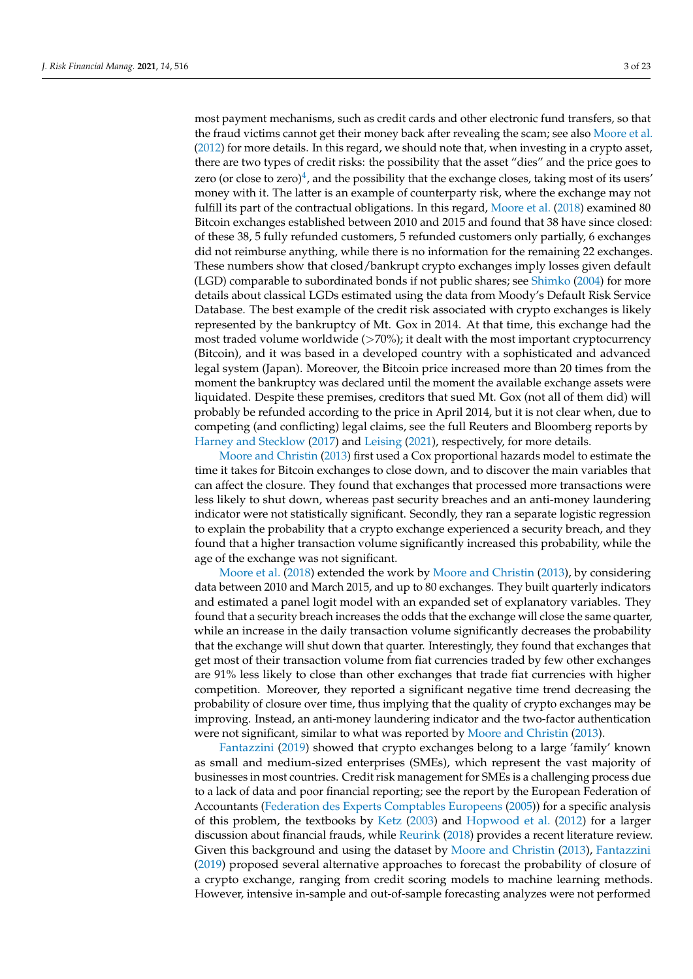<span id="page-2-0"></span>most payment mechanisms, such as credit cards and other electronic fund transfers, so that the fraud victims cannot get their money back after revealing the scam; see also [Moore et al.](#page-22-8) [\(2012\)](#page-22-8) for more details. In this regard, we should note that, when investing in a crypto asset, there are two types of credit risks: the possibility that the asset "dies" and the price goes to zero (or close to zero)<sup>[4](#page-19-3)</sup>, and the possibility that the exchange closes, taking most of its users' money with it. The latter is an example of counterparty risk, where the exchange may not fulfill its part of the contractual obligations. In this regard, [Moore et al.](#page-22-5) [\(2018\)](#page-22-5) examined 80 Bitcoin exchanges established between 2010 and 2015 and found that 38 have since closed: of these 38, 5 fully refunded customers, 5 refunded customers only partially, 6 exchanges did not reimburse anything, while there is no information for the remaining 22 exchanges. These numbers show that closed/bankrupt crypto exchanges imply losses given default (LGD) comparable to subordinated bonds if not public shares; see [Shimko](#page-22-9) [\(2004\)](#page-22-9) for more details about classical LGDs estimated using the data from Moody's Default Risk Service Database. The best example of the credit risk associated with crypto exchanges is likely represented by the bankruptcy of Mt. Gox in 2014. At that time, this exchange had the most traded volume worldwide  $($ >70%); it dealt with the most important cryptocurrency (Bitcoin), and it was based in a developed country with a sophisticated and advanced legal system (Japan). Moreover, the Bitcoin price increased more than 20 times from the moment the bankruptcy was declared until the moment the available exchange assets were liquidated. Despite these premises, creditors that sued Mt. Gox (not all of them did) will probably be refunded according to the price in April 2014, but it is not clear when, due to competing (and conflicting) legal claims, see the full Reuters and Bloomberg reports by [Harney and Stecklow](#page-21-7) [\(2017\)](#page-21-7) and [Leising](#page-21-8) [\(2021\)](#page-21-8), respectively, for more details.

[Moore and Christin](#page-22-3) [\(2013\)](#page-22-3) first used a Cox proportional hazards model to estimate the time it takes for Bitcoin exchanges to close down, and to discover the main variables that can affect the closure. They found that exchanges that processed more transactions were less likely to shut down, whereas past security breaches and an anti-money laundering indicator were not statistically significant. Secondly, they ran a separate logistic regression to explain the probability that a crypto exchange experienced a security breach, and they found that a higher transaction volume significantly increased this probability, while the age of the exchange was not significant.

[Moore et al.](#page-22-5) [\(2018\)](#page-22-5) extended the work by [Moore and Christin](#page-22-3) [\(2013\)](#page-22-3), by considering data between 2010 and March 2015, and up to 80 exchanges. They built quarterly indicators and estimated a panel logit model with an expanded set of explanatory variables. They found that a security breach increases the odds that the exchange will close the same quarter, while an increase in the daily transaction volume significantly decreases the probability that the exchange will shut down that quarter. Interestingly, they found that exchanges that get most of their transaction volume from fiat currencies traded by few other exchanges are 91% less likely to close than other exchanges that trade fiat currencies with higher competition. Moreover, they reported a significant negative time trend decreasing the probability of closure over time, thus implying that the quality of crypto exchanges may be improving. Instead, an anti-money laundering indicator and the two-factor authentication were not significant, similar to what was reported by [Moore and Christin](#page-22-3) [\(2013\)](#page-22-3).

[Fantazzini](#page-21-0) [\(2019\)](#page-21-0) showed that crypto exchanges belong to a large 'family' known as small and medium-sized enterprises (SMEs), which represent the vast majority of businesses in most countries. Credit risk management for SMEs is a challenging process due to a lack of data and poor financial reporting; see the report by the European Federation of Accountants [\(Federation des Experts Comptables Europeens](#page-21-9) [\(2005\)](#page-21-9)) for a specific analysis of this problem, the textbooks by [Ketz](#page-21-10) [\(2003\)](#page-21-10) and [Hopwood et al.](#page-21-11) [\(2012\)](#page-21-11) for a larger discussion about financial frauds, while [Reurink](#page-22-10) [\(2018\)](#page-22-10) provides a recent literature review. Given this background and using the dataset by [Moore and Christin](#page-22-3) [\(2013\)](#page-22-3), [Fantazzini](#page-21-0) [\(2019\)](#page-21-0) proposed several alternative approaches to forecast the probability of closure of a crypto exchange, ranging from credit scoring models to machine learning methods. However, intensive in-sample and out-of-sample forecasting analyzes were not performed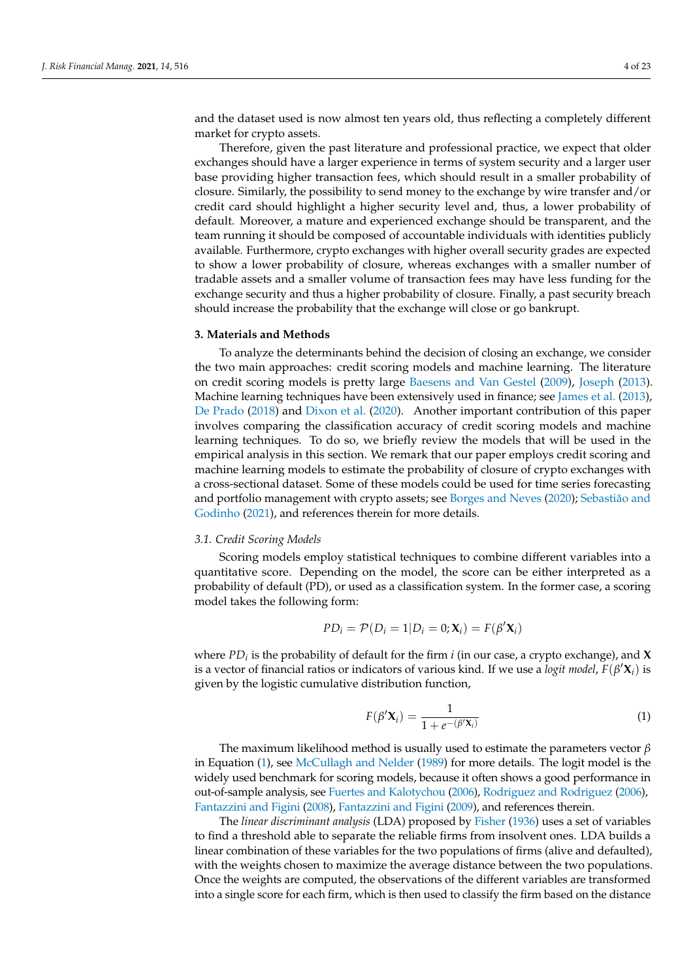and the dataset used is now almost ten years old, thus reflecting a completely different market for crypto assets.

Therefore, given the past literature and professional practice, we expect that older exchanges should have a larger experience in terms of system security and a larger user base providing higher transaction fees, which should result in a smaller probability of closure. Similarly, the possibility to send money to the exchange by wire transfer and/or credit card should highlight a higher security level and, thus, a lower probability of default. Moreover, a mature and experienced exchange should be transparent, and the team running it should be composed of accountable individuals with identities publicly available. Furthermore, crypto exchanges with higher overall security grades are expected to show a lower probability of closure, whereas exchanges with a smaller number of tradable assets and a smaller volume of transaction fees may have less funding for the exchange security and thus a higher probability of closure. Finally, a past security breach should increase the probability that the exchange will close or go bankrupt.

#### <span id="page-3-0"></span>**3. Materials and Methods**

To analyze the determinants behind the decision of closing an exchange, we consider the two main approaches: credit scoring models and machine learning. The literature on credit scoring models is pretty large [Baesens and Van Gestel](#page-20-9) [\(2009\)](#page-20-9), [Joseph](#page-21-12) [\(2013\)](#page-21-12). Machine learning techniques have been extensively used in finance; see [James et al.](#page-21-13) [\(2013\)](#page-21-13), [De Prado](#page-20-10) [\(2018\)](#page-20-10) and [Dixon et al.](#page-21-14) [\(2020\)](#page-21-14). Another important contribution of this paper involves comparing the classification accuracy of credit scoring models and machine learning techniques. To do so, we briefly review the models that will be used in the empirical analysis in this section. We remark that our paper employs credit scoring and machine learning models to estimate the probability of closure of crypto exchanges with a cross-sectional dataset. Some of these models could be used for time series forecasting and portfolio management with crypto assets; see [Borges and Neves](#page-20-11) [\(2020\)](#page-20-11); [Sebastião and](#page-22-11) [Godinho](#page-22-11) [\(2021\)](#page-22-11), and references therein for more details.

## *3.1. Credit Scoring Models*

Scoring models employ statistical techniques to combine different variables into a quantitative score. Depending on the model, the score can be either interpreted as a probability of default (PD), or used as a classification system. In the former case, a scoring model takes the following form:

$$
PD_i = \mathcal{P}(D_i = 1 | D_i = 0; \mathbf{X}_i) = F(\beta' \mathbf{X}_i)
$$

where *PD<sup>i</sup>* is the probability of default for the firm *i* (in our case, a crypto exchange), and **X** is a vector of financial ratios or indicators of various kind. If we use a *logit model*,  $F(\beta' \mathbf{X}_i)$  is given by the logistic cumulative distribution function,

<span id="page-3-1"></span>
$$
F(\beta' \mathbf{X}_i) = \frac{1}{1 + e^{-(\beta' \mathbf{X}_i)}}
$$
(1)

The maximum likelihood method is usually used to estimate the parameters vector *β* in Equation [\(1\)](#page-3-1), see [McCullagh and Nelder](#page-22-12) [\(1989\)](#page-22-12) for more details. The logit model is the widely used benchmark for scoring models, because it often shows a good performance in out-of-sample analysis, see [Fuertes and Kalotychou](#page-21-15) [\(2006\)](#page-21-15), [Rodriguez and Rodriguez](#page-22-13) [\(2006\)](#page-22-13), [Fantazzini and Figini](#page-21-16) [\(2008\)](#page-21-16), [Fantazzini and Figini](#page-21-17) [\(2009\)](#page-21-17), and references therein.

The *linear discriminant analysis* (LDA) proposed by [Fisher](#page-21-18) [\(1936\)](#page-21-18) uses a set of variables to find a threshold able to separate the reliable firms from insolvent ones. LDA builds a linear combination of these variables for the two populations of firms (alive and defaulted), with the weights chosen to maximize the average distance between the two populations. Once the weights are computed, the observations of the different variables are transformed into a single score for each firm, which is then used to classify the firm based on the distance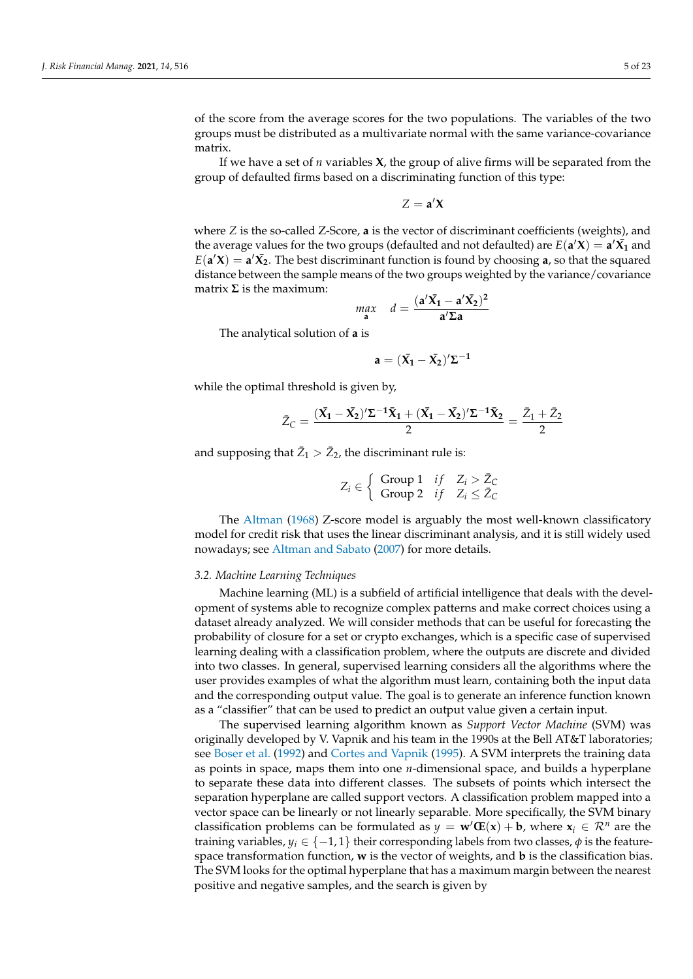of the score from the average scores for the two populations. The variables of the two groups must be distributed as a multivariate normal with the same variance-covariance matrix.

If we have a set of *n* variables **X**, the group of alive firms will be separated from the group of defaulted firms based on a discriminating function of this type:

 $Z = \mathbf{a}'\mathbf{X}$ 

where *Z* is the so-called Z-Score, **a** is the vector of discriminant coefficients (weights), and the average values for the two groups (defaulted and not defaulted) are  $E(\mathbf{a}'\mathbf{X}) = \mathbf{a}'\mathbf{X}_1$  and  $E(\mathbf{a}'\mathbf{X}) = \mathbf{a}'\mathbf{X}_2$ . The best discriminant function is found by choosing **a**, so that the squared distance between the sample means of the two groups weighted by the variance/covariance matrix **Σ** is the maximum:

$$
\max_{\mathbf{a}} \quad d = \frac{(\mathbf{a}'\bar{\mathbf{X}}_1 - \mathbf{a}'\bar{\mathbf{X}}_2)^2}{\mathbf{a}'\Sigma \mathbf{a}}
$$

The analytical solution of **a** is

$$
a=(\bar{X_1}-\bar{X_2})'\Sigma^{-1}
$$

while the optimal threshold is given by,

$$
\bar{Z}_C = \frac{(\bar{X_1} - \bar{X_2})'\Sigma^{-1}\bar{X}_1 + (\bar{X_1} - \bar{X_2})'\Sigma^{-1}\bar{X}_2}{2} = \frac{\bar{Z}_1 + \bar{Z}_2}{2}
$$

and supposing that  $\bar{Z}_1 > \bar{Z}_2$ , the discriminant rule is:

$$
Z_i \in \left\{ \begin{array}{ll} \text{Group 1} & \text{if} \quad Z_i > \bar{Z}_C \\ \text{Group 2} & \text{if} \quad Z_i \leq \bar{Z}_C \end{array} \right.
$$

The [Altman](#page-20-12) [\(1968\)](#page-20-12) Z-score model is arguably the most well-known classificatory model for credit risk that uses the linear discriminant analysis, and it is still widely used nowadays; see [Altman and Sabato](#page-20-13) [\(2007\)](#page-20-13) for more details.

#### *3.2. Machine Learning Techniques*

Machine learning (ML) is a subfield of artificial intelligence that deals with the development of systems able to recognize complex patterns and make correct choices using a dataset already analyzed. We will consider methods that can be useful for forecasting the probability of closure for a set or crypto exchanges, which is a specific case of supervised learning dealing with a classification problem, where the outputs are discrete and divided into two classes. In general, supervised learning considers all the algorithms where the user provides examples of what the algorithm must learn, containing both the input data and the corresponding output value. The goal is to generate an inference function known as a "classifier" that can be used to predict an output value given a certain input.

The supervised learning algorithm known as *Support Vector Machine* (SVM) was originally developed by V. Vapnik and his team in the 1990s at the Bell AT&T laboratories; see [Boser et al.](#page-20-14) [\(1992\)](#page-20-14) and [Cortes and Vapnik](#page-20-15) [\(1995\)](#page-20-15). A SVM interprets the training data as points in space, maps them into one *n*-dimensional space, and builds a hyperplane to separate these data into different classes. The subsets of points which intersect the separation hyperplane are called support vectors. A classification problem mapped into a vector space can be linearly or not linearly separable. More specifically, the SVM binary classification problems can be formulated as  $y = \mathbf{w}'\mathbf{E}(\mathbf{x}) + \mathbf{b}$ , where  $\mathbf{x}_i \in \mathbb{R}^n$  are the training variables,  $y_i \in \{-1, 1\}$  their corresponding labels from two classes,  $\phi$  is the featurespace transformation function, **w** is the vector of weights, and **b** is the classification bias. The SVM looks for the optimal hyperplane that has a maximum margin between the nearest positive and negative samples, and the search is given by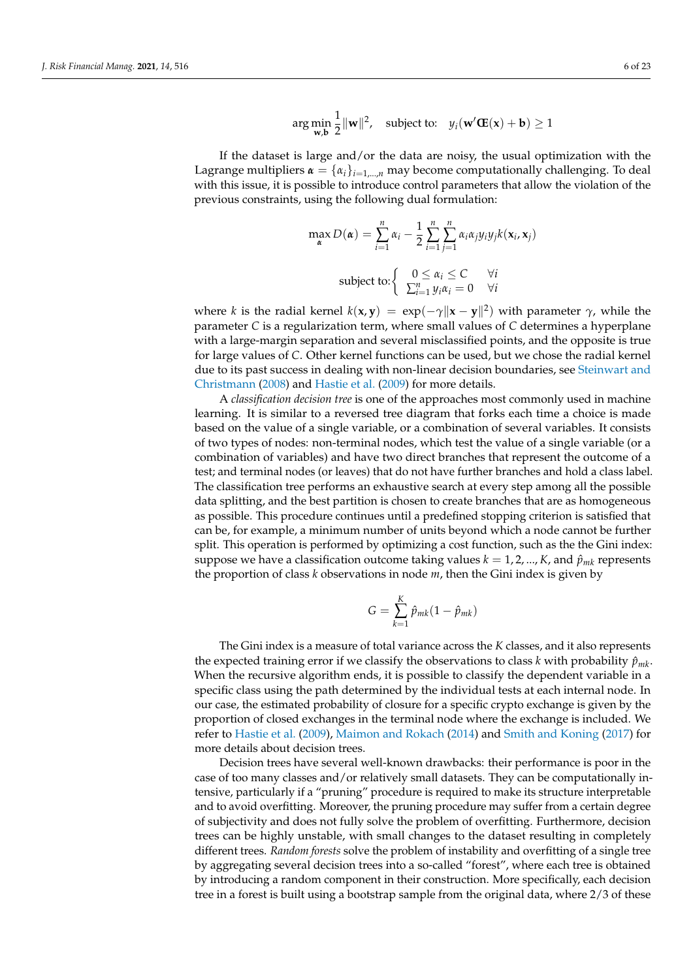$$
\arg\min_{\mathbf{w},\mathbf{b}} \frac{1}{2} ||\mathbf{w}||^2, \quad \text{subject to:} \quad y_i(\mathbf{w}'\mathbf{C}(\mathbf{x}) + \mathbf{b}) \ge 1
$$

If the dataset is large and/or the data are noisy, the usual optimization with the Lagrange multipliers  $\boldsymbol{\alpha} = {\alpha_i}_{i=1,...,n}$  may become computationally challenging. To deal with this issue, it is possible to introduce control parameters that allow the violation of the previous constraints, using the following dual formulation:

$$
\max_{\alpha} D(\alpha) = \sum_{i=1}^{n} \alpha_i - \frac{1}{2} \sum_{i=1}^{n} \sum_{j=1}^{n} \alpha_i \alpha_j y_i y_j k(\mathbf{x}_i, \mathbf{x}_j)
$$
  
subject to: 
$$
\begin{cases} 0 \le \alpha_i \le C & \forall i \\ \sum_{i=1}^{n} y_i \alpha_i = 0 & \forall i \end{cases}
$$

where *k* is the radial kernel  $k(x, y) = exp(-\gamma ||x - y||^2)$  with parameter  $\gamma$ , while the parameter *C* is a regularization term, where small values of *C* determines a hyperplane with a large-margin separation and several misclassified points, and the opposite is true for large values of *C*. Other kernel functions can be used, but we chose the radial kernel due to its past success in dealing with non-linear decision boundaries, see [Steinwart and](#page-22-14) [Christmann](#page-22-14) [\(2008\)](#page-22-14) and [Hastie et al.](#page-21-19) [\(2009\)](#page-21-19) for more details.

A *classification decision tree* is one of the approaches most commonly used in machine learning. It is similar to a reversed tree diagram that forks each time a choice is made based on the value of a single variable, or a combination of several variables. It consists of two types of nodes: non-terminal nodes, which test the value of a single variable (or a combination of variables) and have two direct branches that represent the outcome of a test; and terminal nodes (or leaves) that do not have further branches and hold a class label. The classification tree performs an exhaustive search at every step among all the possible data splitting, and the best partition is chosen to create branches that are as homogeneous as possible. This procedure continues until a predefined stopping criterion is satisfied that can be, for example, a minimum number of units beyond which a node cannot be further split. This operation is performed by optimizing a cost function, such as the the Gini index: suppose we have a classification outcome taking values  $k = 1, 2, ..., K$ , and  $\hat{p}_{mk}$  represents the proportion of class *k* observations in node *m*, then the Gini index is given by

$$
G = \sum_{k=1}^{K} \hat{p}_{mk} (1 - \hat{p}_{mk})
$$

The Gini index is a measure of total variance across the *K* classes, and it also represents the expected training error if we classify the observations to class *k* with probability  $\hat{p}_{mk}$ . When the recursive algorithm ends, it is possible to classify the dependent variable in a specific class using the path determined by the individual tests at each internal node. In our case, the estimated probability of closure for a specific crypto exchange is given by the proportion of closed exchanges in the terminal node where the exchange is included. We refer to [Hastie et al.](#page-21-19) [\(2009\)](#page-21-19), [Maimon and Rokach](#page-22-15) [\(2014\)](#page-22-15) and [Smith and Koning](#page-22-16) [\(2017\)](#page-22-16) for more details about decision trees.

Decision trees have several well-known drawbacks: their performance is poor in the case of too many classes and/or relatively small datasets. They can be computationally intensive, particularly if a "pruning" procedure is required to make its structure interpretable and to avoid overfitting. Moreover, the pruning procedure may suffer from a certain degree of subjectivity and does not fully solve the problem of overfitting. Furthermore, decision trees can be highly unstable, with small changes to the dataset resulting in completely different trees. *Random forests* solve the problem of instability and overfitting of a single tree by aggregating several decision trees into a so-called "forest", where each tree is obtained by introducing a random component in their construction. More specifically, each decision tree in a forest is built using a bootstrap sample from the original data, where 2/3 of these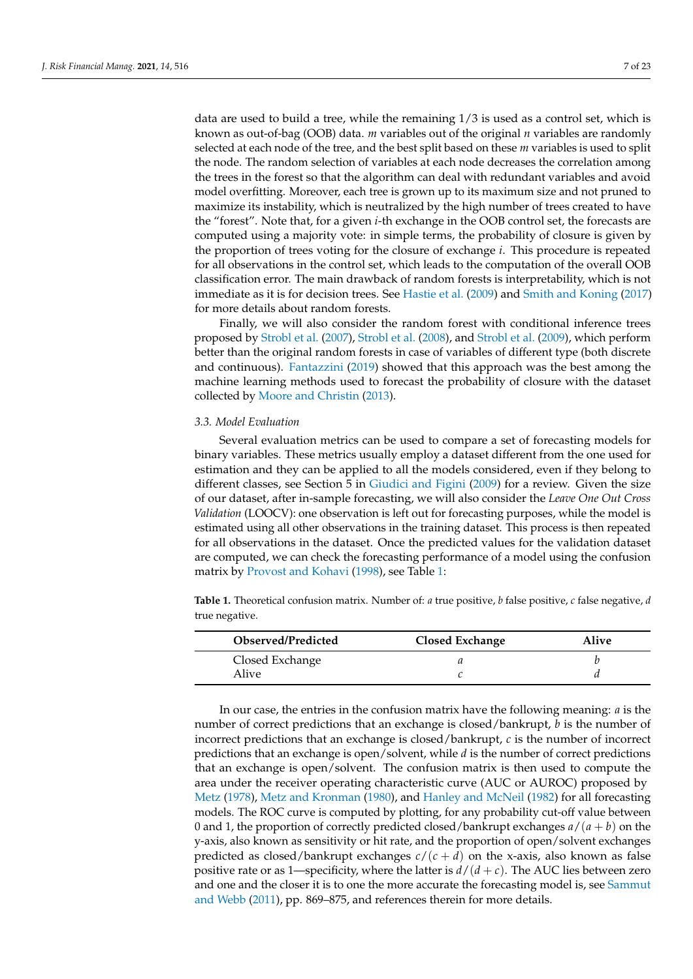data are used to build a tree, while the remaining  $1/3$  is used as a control set, which is known as out-of-bag (OOB) data. *m* variables out of the original *n* variables are randomly selected at each node of the tree, and the best split based on these *m* variables is used to split the node. The random selection of variables at each node decreases the correlation among the trees in the forest so that the algorithm can deal with redundant variables and avoid model overfitting. Moreover, each tree is grown up to its maximum size and not pruned to maximize its instability, which is neutralized by the high number of trees created to have the "forest". Note that, for a given *i*-th exchange in the OOB control set, the forecasts are computed using a majority vote: in simple terms, the probability of closure is given by the proportion of trees voting for the closure of exchange *i*. This procedure is repeated for all observations in the control set, which leads to the computation of the overall OOB classification error. The main drawback of random forests is interpretability, which is not immediate as it is for decision trees. See [Hastie et al.](#page-21-19) [\(2009\)](#page-21-19) and [Smith and Koning](#page-22-16) [\(2017\)](#page-22-16) for more details about random forests.

Finally, we will also consider the random forest with conditional inference trees proposed by [Strobl et al.](#page-22-17) [\(2007\)](#page-22-17), [Strobl et al.](#page-22-18) [\(2008\)](#page-22-18), and [Strobl et al.](#page-22-19) [\(2009\)](#page-22-19), which perform better than the original random forests in case of variables of different type (both discrete and continuous). [Fantazzini](#page-21-0) [\(2019\)](#page-21-0) showed that this approach was the best among the machine learning methods used to forecast the probability of closure with the dataset collected by [Moore and Christin](#page-22-3) [\(2013\)](#page-22-3).

## *3.3. Model Evaluation*

Several evaluation metrics can be used to compare a set of forecasting models for binary variables. These metrics usually employ a dataset different from the one used for estimation and they can be applied to all the models considered, even if they belong to different classes, see Section 5 in [Giudici and Figini](#page-21-20) [\(2009\)](#page-21-20) for a review. Given the size of our dataset, after in-sample forecasting, we will also consider the *Leave One Out Cross Validation* (LOOCV): one observation is left out for forecasting purposes, while the model is estimated using all other observations in the training dataset. This process is then repeated for all observations in the dataset. Once the predicted values for the validation dataset are computed, we can check the forecasting performance of a model using the confusion matrix by [Provost and Kohavi](#page-22-20) [\(1998\)](#page-22-20), see Table [1:](#page-6-0)

<span id="page-6-0"></span>**Table 1.** Theoretical confusion matrix. Number of: *a* true positive, *b* false positive, *c* false negative, *d* true negative.

| Observed/Predicted | <b>Closed Exchange</b> | <b>Alive</b> |
|--------------------|------------------------|--------------|
| Closed Exchange    |                        |              |
| Alive              |                        |              |

In our case, the entries in the confusion matrix have the following meaning: *a* is the number of correct predictions that an exchange is closed/bankrupt, *b* is the number of incorrect predictions that an exchange is closed/bankrupt, *c* is the number of incorrect predictions that an exchange is open/solvent, while *d* is the number of correct predictions that an exchange is open/solvent. The confusion matrix is then used to compute the area under the receiver operating characteristic curve (AUC or AUROC) proposed by [Metz](#page-22-21) [\(1978\)](#page-22-21), [Metz and Kronman](#page-22-22) [\(1980\)](#page-22-22), and [Hanley and McNeil](#page-21-21) [\(1982\)](#page-21-21) for all forecasting models. The ROC curve is computed by plotting, for any probability cut-off value between 0 and 1, the proportion of correctly predicted closed/bankrupt exchanges  $a/(a + b)$  on the y-axis, also known as sensitivity or hit rate, and the proportion of open/solvent exchanges predicted as closed/bankrupt exchanges  $c/(c + d)$  on the x-axis, also known as false positive rate or as 1—specificity, where the latter is  $d/(d + c)$ . The AUC lies between zero and one and the closer it is to one the more accurate the forecasting model is, see [Sammut](#page-22-23) [and Webb](#page-22-23) [\(2011\)](#page-22-23), pp. 869–875, and references therein for more details.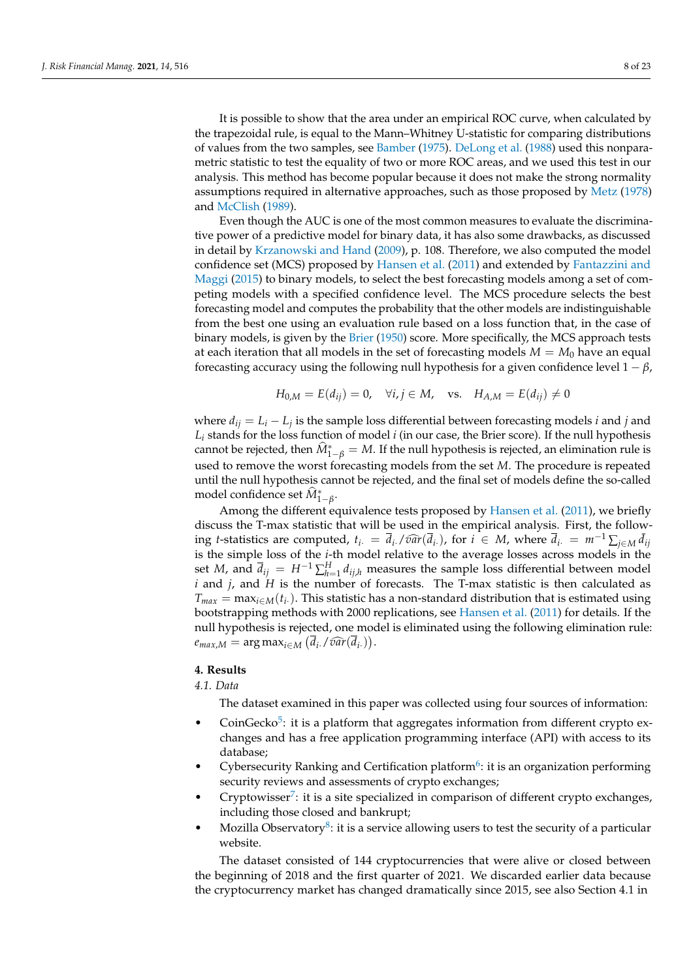It is possible to show that the area under an empirical ROC curve, when calculated by the trapezoidal rule, is equal to the Mann–Whitney U-statistic for comparing distributions of values from the two samples, see [Bamber](#page-20-16) [\(1975\)](#page-20-16). [DeLong et al.](#page-21-22) [\(1988\)](#page-21-22) used this nonparametric statistic to test the equality of two or more ROC areas, and we used this test in our analysis. This method has become popular because it does not make the strong normality assumptions required in alternative approaches, such as those proposed by [Metz](#page-22-21) [\(1978\)](#page-22-21) and [McClish](#page-22-24) [\(1989\)](#page-22-24).

Even though the AUC is one of the most common measures to evaluate the discriminative power of a predictive model for binary data, it has also some drawbacks, as discussed in detail by [Krzanowski and Hand](#page-21-23) [\(2009\)](#page-21-23), p. 108. Therefore, we also computed the model confidence set (MCS) proposed by [Hansen et al.](#page-21-24) [\(2011\)](#page-21-24) and extended by [Fantazzini and](#page-21-25) [Maggi](#page-21-25) [\(2015\)](#page-21-25) to binary models, to select the best forecasting models among a set of competing models with a specified confidence level. The MCS procedure selects the best forecasting model and computes the probability that the other models are indistinguishable from the best one using an evaluation rule based on a loss function that, in the case of binary models, is given by the [Brier](#page-20-17) [\(1950\)](#page-20-17) score. More specifically, the MCS approach tests at each iteration that all models in the set of forecasting models  $M = M_0$  have an equal forecasting accuracy using the following null hypothesis for a given confidence level  $1 - \beta$ ,

$$
H_{0,M} = E(d_{ij}) = 0
$$
,  $\forall i, j \in M$ , vs.  $H_{A,M} = E(d_{ij}) \neq 0$ 

where  $d_{ij} = L_i - L_j$  is the sample loss differential between forecasting models *i* and *j* and *L<sup>i</sup>* stands for the loss function of model *i* (in our case, the Brier score). If the null hypothesis cannot be rejected, then  $\widehat{M}^*_{1-\beta} = M$ . If the null hypothesis is rejected, an elimination rule is used to remove the worst forecasting models from the set *M*. The procedure is repeated until the null hypothesis cannot be rejected, and the final set of models define the so-called model confidence set  $\widehat M^*_{1-\beta}$ .

Among the different equivalence tests proposed by [Hansen et al.](#page-21-24) [\(2011\)](#page-21-24), we briefly discuss the T-max statistic that will be used in the empirical analysis. First, the following *t*-statistics are computed,  $t_i = \overline{d}_i / \widehat{var}(\overline{d}_i)$ , for  $i \in M$ , where  $\overline{d}_i = m^{-1} \sum_{j \in M} \overline{d}_i$  is the simple loss of the *i*<sup>th</sup> model valetive to the systems losses agrees models in the is the simple loss of the *i*-th model relative to the average losses across models in the set *M*, and  $\bar{d}_{ij} = H^{-1} \sum_{h=1}^{H} d_{ij,h}$  measures the sample loss differential between model *i* and *j*, and *H* is the number of forecasts. The T-max statistic is then calculated as  $T_{max} = \max_{i \in M}(t_i)$ . This statistic has a non-standard distribution that is estimated using bootstrapping methods with 2000 replications, see [Hansen et al.](#page-21-24) [\(2011\)](#page-21-24) for details. If the null hypothesis is rejected, one model is eliminated using the following elimination rule:  $e_{max,M} = \arg \max_{i \in M} \left( \overline{d}_i$ . / $\widehat{var}(\overline{d}_i) \right)$ .

## <span id="page-7-0"></span>**4. Results**

#### *4.1. Data*

<span id="page-7-2"></span><span id="page-7-1"></span>The dataset examined in this paper was collected using four sources of information:

- CoinGecko<sup>[5](#page-19-4)</sup>: it is a platform that aggregates information from different crypto exchanges and has a free application programming interface (API) with access to its database;
- Cybersecurity Ranking and Certification platform<sup>[6](#page-19-5)</sup>: it is an organization performing security reviews and assessments of crypto exchanges;
- <span id="page-7-3"></span>• Cryptowisser<sup>[7](#page-19-6)</sup>: it is a site specialized in comparison of different crypto exchanges, including those closed and bankrupt;
- <span id="page-7-4"></span>• Mozilla Observatory<sup>[8](#page-19-7)</sup>: it is a service allowing users to test the security of a particular website.

The dataset consisted of 144 cryptocurrencies that were alive or closed between the beginning of 2018 and the first quarter of 2021. We discarded earlier data because the cryptocurrency market has changed dramatically since 2015, see also Section 4.1 in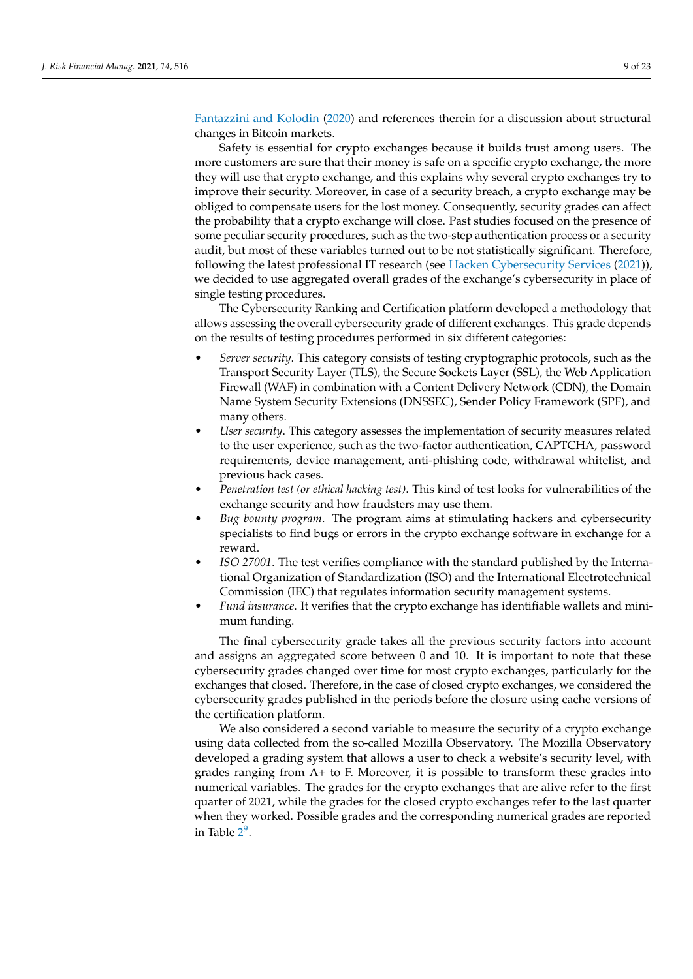[Fantazzini and Kolodin](#page-21-26) [\(2020\)](#page-21-26) and references therein for a discussion about structural changes in Bitcoin markets.

Safety is essential for crypto exchanges because it builds trust among users. The more customers are sure that their money is safe on a specific crypto exchange, the more they will use that crypto exchange, and this explains why several crypto exchanges try to improve their security. Moreover, in case of a security breach, a crypto exchange may be obliged to compensate users for the lost money. Consequently, security grades can affect the probability that a crypto exchange will close. Past studies focused on the presence of some peculiar security procedures, such as the two-step authentication process or a security audit, but most of these variables turned out to be not statistically significant. Therefore, following the latest professional IT research (see [Hacken Cybersecurity Services](#page-21-6) [\(2021\)](#page-21-6)), we decided to use aggregated overall grades of the exchange's cybersecurity in place of single testing procedures.

The Cybersecurity Ranking and Certification platform developed a methodology that allows assessing the overall cybersecurity grade of different exchanges. This grade depends on the results of testing procedures performed in six different categories:

- *Server security*. This category consists of testing cryptographic protocols, such as the Transport Security Layer (TLS), the Secure Sockets Layer (SSL), the Web Application Firewall (WAF) in combination with a Content Delivery Network (CDN), the Domain Name System Security Extensions (DNSSEC), Sender Policy Framework (SPF), and many others.
- *User security*. This category assesses the implementation of security measures related to the user experience, such as the two-factor authentication, CAPTCHA, password requirements, device management, anti-phishing code, withdrawal whitelist, and previous hack cases.
- *Penetration test (or ethical hacking test)*. This kind of test looks for vulnerabilities of the exchange security and how fraudsters may use them.
- *Bug bounty program*. The program aims at stimulating hackers and cybersecurity specialists to find bugs or errors in the crypto exchange software in exchange for a reward.
- *ISO 27001*. The test verifies compliance with the standard published by the International Organization of Standardization (ISO) and the International Electrotechnical Commission (IEC) that regulates information security management systems.
- *Fund insurance*. It verifies that the crypto exchange has identifiable wallets and minimum funding.

The final cybersecurity grade takes all the previous security factors into account and assigns an aggregated score between 0 and 10. It is important to note that these cybersecurity grades changed over time for most crypto exchanges, particularly for the exchanges that closed. Therefore, in the case of closed crypto exchanges, we considered the cybersecurity grades published in the periods before the closure using cache versions of the certification platform.

<span id="page-8-0"></span>We also considered a second variable to measure the security of a crypto exchange using data collected from the so-called Mozilla Observatory. The Mozilla Observatory developed a grading system that allows a user to check a website's security level, with grades ranging from A+ to F. Moreover, it is possible to transform these grades into numerical variables. The grades for the crypto exchanges that are alive refer to the first quarter of 2021, while the grades for the closed crypto exchanges refer to the last quarter when they worked. Possible grades and the corresponding numerical grades are reported in Table [2](#page-9-0)<sup>[9](#page-19-8)</sup>.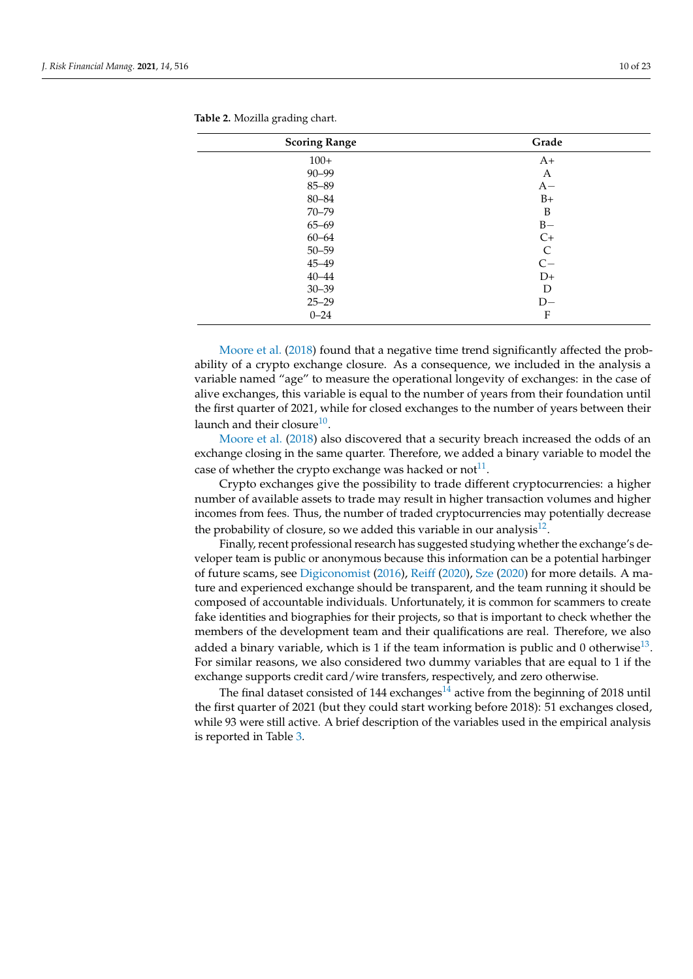| <b>Scoring Range</b> | Grade        |
|----------------------|--------------|
| $100+$               | $A+$         |
| $90 - 99$            | A            |
| 85-89                | $A -$        |
| $80 - 84$            | $B+$         |
| $70 - 79$            | B            |
| $65 - 69$            | $B -$        |
| $60 - 64$            | $C+$         |
| $50 - 59$            | $\mathsf{C}$ |
| $45 - 49$            | $C -$        |
| $40 - 44$            | $D+$         |
| $30 - 39$            | D            |
| $25 - 29$            | $D-$         |
| $0 - 24$             | F            |

<span id="page-9-0"></span>

|  | Table 2. Mozilla grading chart. |  |  |
|--|---------------------------------|--|--|
|--|---------------------------------|--|--|

[Moore et al.](#page-22-5) [\(2018\)](#page-22-5) found that a negative time trend significantly affected the probability of a crypto exchange closure. As a consequence, we included in the analysis a variable named "age" to measure the operational longevity of exchanges: in the case of alive exchanges, this variable is equal to the number of years from their foundation until the first quarter of 2021, while for closed exchanges to the number of years between their launch and their closure<sup>[10](#page-19-9)</sup>.

<span id="page-9-1"></span>[Moore et al.](#page-22-5) [\(2018\)](#page-22-5) also discovered that a security breach increased the odds of an exchange closing in the same quarter. Therefore, we added a binary variable to model the case of whether the crypto exchange was hacked or  $\text{not}^{11}$  $\text{not}^{11}$  $\text{not}^{11}$ .

<span id="page-9-2"></span>Crypto exchanges give the possibility to trade different cryptocurrencies: a higher number of available assets to trade may result in higher transaction volumes and higher incomes from fees. Thus, the number of traded cryptocurrencies may potentially decrease the probability of closure, so we added this variable in our analysis<sup>[12](#page-19-11)</sup>.

<span id="page-9-3"></span>Finally, recent professional research has suggested studying whether the exchange's developer team is public or anonymous because this information can be a potential harbinger of future scams, see [Digiconomist](#page-21-27) [\(2016\)](#page-21-27), [Reiff](#page-22-25) [\(2020\)](#page-22-25), [Sze](#page-22-26) [\(2020\)](#page-22-26) for more details. A mature and experienced exchange should be transparent, and the team running it should be composed of accountable individuals. Unfortunately, it is common for scammers to create fake identities and biographies for their projects, so that is important to check whether the members of the development team and their qualifications are real. Therefore, we also added a binary variable, which is 1 if the team information is public and 0 otherwise $^{13}$  $^{13}$  $^{13}$ . For similar reasons, we also considered two dummy variables that are equal to 1 if the exchange supports credit card/wire transfers, respectively, and zero otherwise.

<span id="page-9-5"></span><span id="page-9-4"></span>The final dataset consisted of [14](#page-20-19)4 exchanges $14$  active from the beginning of 2018 until the first quarter of 2021 (but they could start working before 2018): 51 exchanges closed, while 93 were still active. A brief description of the variables used in the empirical analysis is reported in Table [3.](#page-10-0)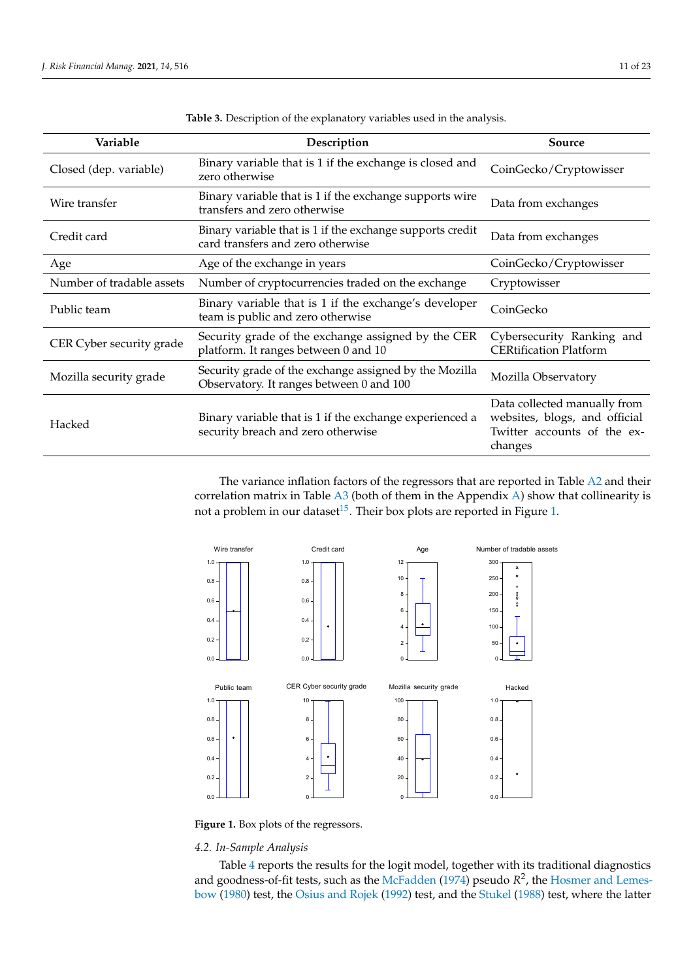<span id="page-10-0"></span>

| Variable                  | Description                                                                                        | Source                                                                                                  |
|---------------------------|----------------------------------------------------------------------------------------------------|---------------------------------------------------------------------------------------------------------|
| Closed (dep. variable)    | Binary variable that is 1 if the exchange is closed and<br>zero otherwise                          | CoinGecko/Cryptowisser                                                                                  |
| Wire transfer             | Binary variable that is 1 if the exchange supports wire<br>transfers and zero otherwise            | Data from exchanges                                                                                     |
| Credit card               | Binary variable that is 1 if the exchange supports credit<br>card transfers and zero otherwise     | Data from exchanges                                                                                     |
| Age                       | Age of the exchange in years                                                                       | CoinGecko/Cryptowisser                                                                                  |
| Number of tradable assets | Number of cryptocurrencies traded on the exchange                                                  | Cryptowisser                                                                                            |
| Public team               | Binary variable that is 1 if the exchange's developer<br>team is public and zero otherwise         | CoinGecko                                                                                               |
| CER Cyber security grade  | Security grade of the exchange assigned by the CER<br>platform. It ranges between 0 and 10         | Cybersecurity Ranking and<br><b>CERtification Platform</b>                                              |
| Mozilla security grade    | Security grade of the exchange assigned by the Mozilla<br>Observatory. It ranges between 0 and 100 | Mozilla Observatory                                                                                     |
| Hacked                    | Binary variable that is 1 if the exchange experienced a<br>security breach and zero otherwise      | Data collected manually from<br>websites, blogs, and official<br>Twitter accounts of the ex-<br>changes |

**Table 3.** Description of the explanatory variables used in the analysis.

<span id="page-10-2"></span>The variance inflation factors of the regressors that are reported in Table [A2](#page-19-12) and their correlation matrix in Table [A3](#page-19-13) (both of them in the Appendix [A\)](#page-18-0) show that collinearity is not a problem in our dataset<sup>[15](#page-20-20)</sup>. Their box plots are reported in Figure [1.](#page-10-1)

<span id="page-10-1"></span>

**Figure 1.** Box plots of the regressors.

## *4.2. In-Sample Analysis*

Table [4](#page-11-0) reports the results for the logit model, together with its traditional diagnostics and goodness-of-fit tests, such as the [McFadden](#page-22-27) [\(1974\)](#page-22-27) pseudo  $R^2$ , the [Hosmer and Lemes](#page-21-28)[bow](#page-21-28) [\(1980\)](#page-21-28) test, the [Osius and Rojek](#page-22-28) [\(1992\)](#page-22-28) test, and the [Stukel](#page-22-29) [\(1988\)](#page-22-29) test, where the latter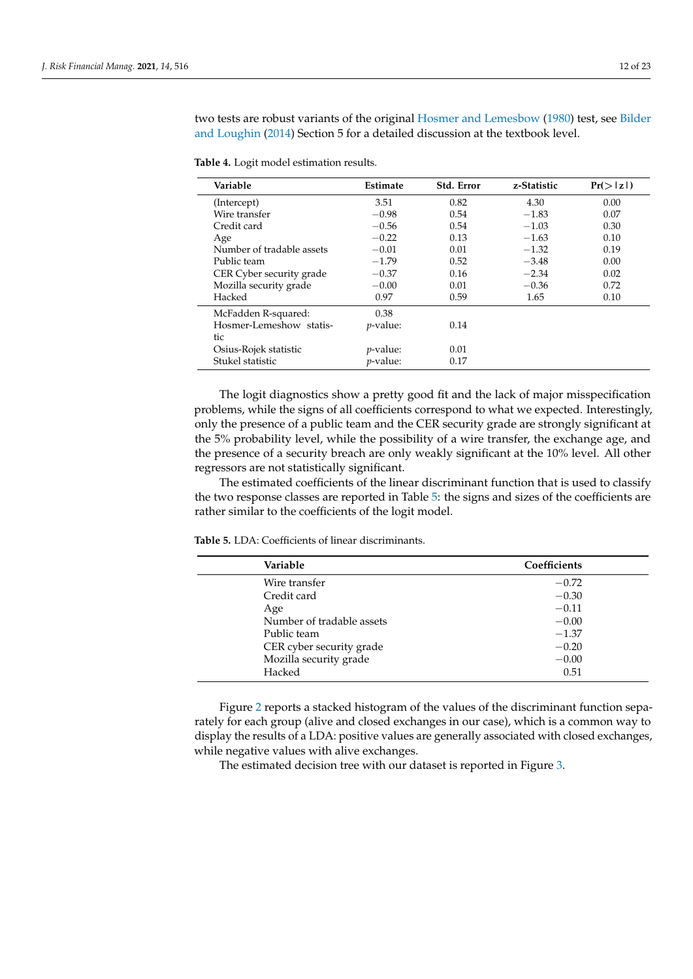two tests are robust variants of the original [Hosmer and Lemesbow](#page-21-28) [\(1980\)](#page-21-28) test, see [Bilder](#page-20-21) [and Loughin](#page-20-21) [\(2014\)](#page-20-21) Section 5 for a detailed discussion at the textbook level.

<span id="page-11-0"></span>**Table 4.** Logit model estimation results.

| Variable                  | Estimate         | Std. Error | z-Statistic | $Pr(>\vert z \vert)$ |
|---------------------------|------------------|------------|-------------|----------------------|
| (Intercept)               | 3.51             | 0.82       | 4.30        | 0.00                 |
| Wire transfer             | $-0.98$          | 0.54       | $-1.83$     | 0.07                 |
| Credit card               | $-0.56$          | 0.54       | $-1.03$     | 0.30                 |
| Age                       | $-0.22$          | 0.13       | $-1.63$     | 0.10                 |
| Number of tradable assets | $-0.01$          | 0.01       | $-1.32$     | 0.19                 |
| Public team               | $-1.79$          | 0.52       | $-3.48$     | 0.00                 |
| CER Cyber security grade  | $-0.37$          | 0.16       | $-2.34$     | 0.02                 |
| Mozilla security grade    | $-0.00$          | 0.01       | $-0.36$     | 0.72                 |
| Hacked                    | 0.97             | 0.59       | 1.65        | 0.10                 |
| McFadden R-squared:       | 0.38             |            |             |                      |
| Hosmer-Lemeshow statis-   | <i>p</i> -value: | 0.14       |             |                      |
| tic                       |                  |            |             |                      |
| Osius-Rojek statistic     | <i>p</i> -value: | 0.01       |             |                      |
| Stukel statistic          | $p$ -value:      | 0.17       |             |                      |

The logit diagnostics show a pretty good fit and the lack of major misspecification problems, while the signs of all coefficients correspond to what we expected. Interestingly, only the presence of a public team and the CER security grade are strongly significant at the 5% probability level, while the possibility of a wire transfer, the exchange age, and the presence of a security breach are only weakly significant at the 10% level. All other regressors are not statistically significant.

The estimated coefficients of the linear discriminant function that is used to classify the two response classes are reported in Table [5:](#page-11-1) the signs and sizes of the coefficients are rather similar to the coefficients of the logit model.

<span id="page-11-1"></span>**Table 5.** LDA: Coefficients of linear discriminants.

| Variable                  | Coefficients |
|---------------------------|--------------|
| Wire transfer             | $-0.72$      |
| Credit card               | $-0.30$      |
| Age                       | $-0.11$      |
| Number of tradable assets | $-0.00$      |
| Public team               | $-1.37$      |
| CER cyber security grade  | $-0.20$      |
| Mozilla security grade    | $-0.00$      |
| Hacked                    | 0.51         |

Figure [2](#page-12-0) reports a stacked histogram of the values of the discriminant function separately for each group (alive and closed exchanges in our case), which is a common way to display the results of a LDA: positive values are generally associated with closed exchanges, while negative values with alive exchanges.

The estimated decision tree with our dataset is reported in Figure [3.](#page-12-1)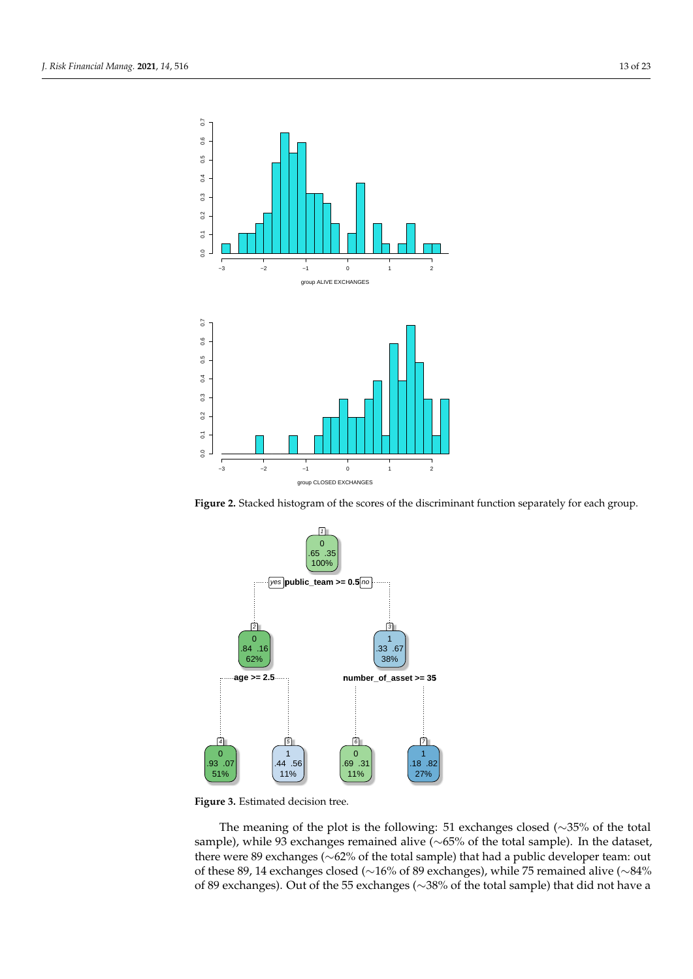<span id="page-12-0"></span>

**Figure 2.** Stacked histogram of the scores of the discriminant function separately for each group.

<span id="page-12-1"></span>

Figure 3. Estimated decision tree.

The meaning of the plot is the following: 51 exchanges closed (∼35% of the total sample), while 93 exchanges remained alive (~65% of the total sample). In the dataset, there were 89 exchanges (∼62% of the total sample) that had a public developer team: out of these 89, 14 exchanges closed (∼16% of 89 exchanges), while 75 remained alive (∼84% of 89 exchanges). Out of the 55 exchanges (∼38% of the total sample) that did not have a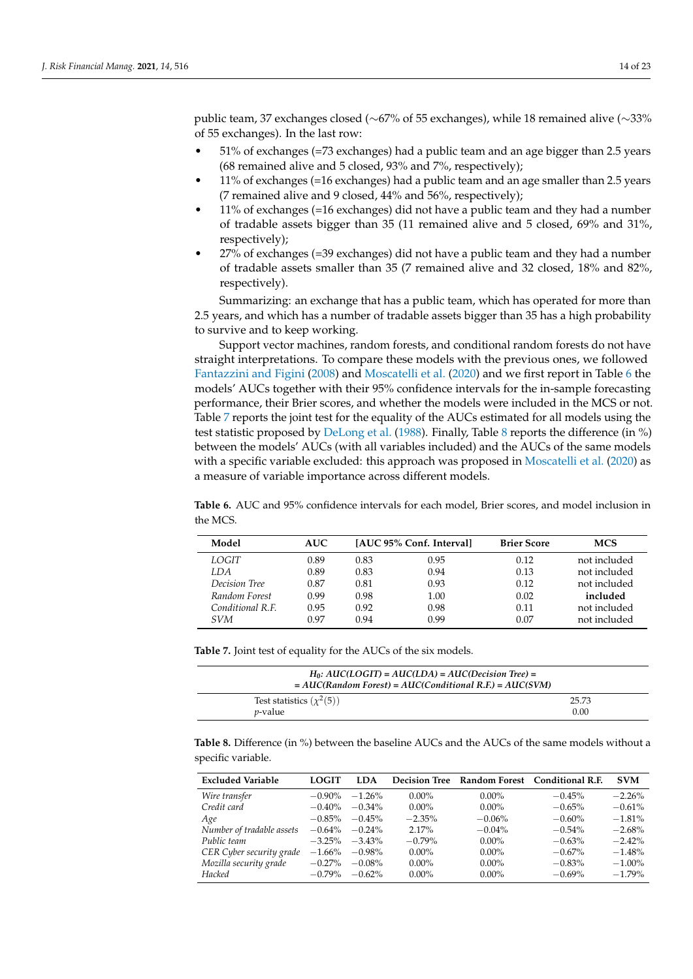public team, 37 exchanges closed (∼67% of 55 exchanges), while 18 remained alive (∼33% of 55 exchanges). In the last row:

- 51% of exchanges (=73 exchanges) had a public team and an age bigger than 2.5 years (68 remained alive and 5 closed, 93% and 7%, respectively);
- 11% of exchanges (=16 exchanges) had a public team and an age smaller than 2.5 years (7 remained alive and 9 closed, 44% and 56%, respectively);
- 11% of exchanges (=16 exchanges) did not have a public team and they had a number of tradable assets bigger than 35 (11 remained alive and 5 closed, 69% and 31%, respectively);
- 27% of exchanges (=39 exchanges) did not have a public team and they had a number of tradable assets smaller than 35 (7 remained alive and 32 closed, 18% and 82%, respectively).

Summarizing: an exchange that has a public team, which has operated for more than 2.5 years, and which has a number of tradable assets bigger than 35 has a high probability to survive and to keep working.

Support vector machines, random forests, and conditional random forests do not have straight interpretations. To compare these models with the previous ones, we followed [Fantazzini and Figini](#page-21-16) [\(2008\)](#page-21-16) and [Moscatelli et al.](#page-22-7) [\(2020\)](#page-22-7) and we first report in Table [6](#page-13-0) the models' AUCs together with their 95% confidence intervals for the in-sample forecasting performance, their Brier scores, and whether the models were included in the MCS or not. Table [7](#page-13-1) reports the joint test for the equality of the AUCs estimated for all models using the test statistic proposed by [DeLong et al.](#page-21-22) [\(1988\)](#page-21-22). Finally, Table [8](#page-13-2) reports the difference (in %) between the models' AUCs (with all variables included) and the AUCs of the same models with a specific variable excluded: this approach was proposed in [Moscatelli et al.](#page-22-7) [\(2020\)](#page-22-7) as a measure of variable importance across different models.

<span id="page-13-0"></span>**Table 6.** AUC and 95% confidence intervals for each model, Brier scores, and model inclusion in the MCS.

| Model            | <b>AUC</b> |      | [AUC 95% Conf. Interval] | <b>Brier Score</b> | <b>MCS</b>   |
|------------------|------------|------|--------------------------|--------------------|--------------|
| LOGIT            | 0.89       | 0.83 | 0.95                     | 0.12               | not included |
| LDA              | 0.89       | 0.83 | 0.94                     | 0.13               | not included |
| Decision Tree    | 0.87       | 0.81 | 0.93                     | 0.12               | not included |
| Random Forest    | 0.99       | 0.98 | 1.00                     | 0.02               | included     |
| Conditional R.F. | 0.95       | 0.92 | 0.98                     | 0.11               | not included |
| SVM              | 0.97       | 0.94 | 0.99                     | 0.07               | not included |

<span id="page-13-1"></span>**Table 7.** Joint test of equality for the AUCs of the six models.

| $H_0$ : AUC(LOGIT) = AUC(LDA) = AUC(Decision Tree) =<br>$= AUC(Random Forest) = AUC(Conditional R.F.) = AUC(SVM)$ |       |
|-------------------------------------------------------------------------------------------------------------------|-------|
| Test statistics $(\chi^2(5))$                                                                                     | 25.73 |
| <i>p</i> -value                                                                                                   | 0.00  |

<span id="page-13-2"></span>**Table 8.** Difference (in %) between the baseline AUCs and the AUCs of the same models without a specific variable.

| <b>Excluded Variable</b>  | <b>LOGIT</b> | <b>LDA</b> |           |           | Decision Tree Random Forest Conditional R.F. | <b>SVM</b> |
|---------------------------|--------------|------------|-----------|-----------|----------------------------------------------|------------|
| Wire transfer             | $-0.90\%$    | $-1.26\%$  | $0.00\%$  | $0.00\%$  | $-0.45%$                                     | $-2.26%$   |
| Credit card               | $-0.40%$     | $-0.34\%$  | $0.00\%$  | $0.00\%$  | $-0.65%$                                     | $-0.61\%$  |
| Age                       | $-0.85\%$    | $-0.45%$   | $-2.35%$  | $-0.06%$  | $-0.60\%$                                    | $-1.81%$   |
| Number of tradable assets | $-0.64\%$    | $-0.24\%$  | 2.17%     | $-0.04\%$ | $-0.54\%$                                    | $-2.68%$   |
| Public team               | $-3.25%$     | $-3.43\%$  | $-0.79\%$ | $0.00\%$  | $-0.63%$                                     | $-2.42%$   |
| CER Cyber security grade  | $-1.66%$     | $-0.98\%$  | $0.00\%$  | $0.00\%$  | $-0.67\%$                                    | $-1.48%$   |
| Mozilla security grade    | $-0.27%$     | $-0.08%$   | $0.00\%$  | $0.00\%$  | $-0.83%$                                     | $-1.00\%$  |
| Hacked                    | $-0.79\%$    | $-0.62\%$  | $0.00\%$  | $0.00\%$  | $-0.69%$                                     | $-1.79\%$  |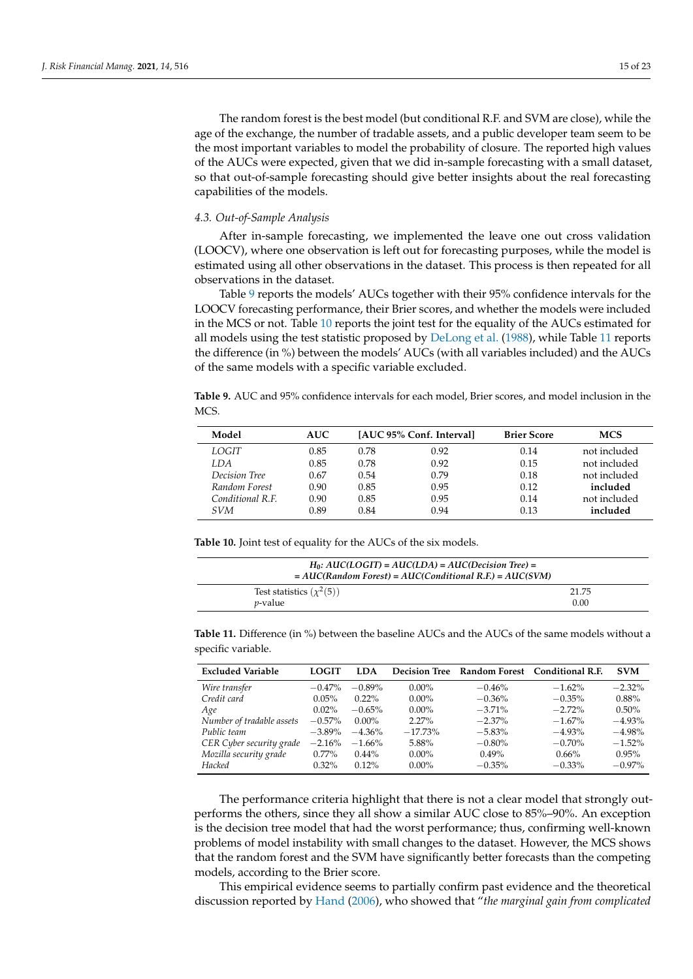The random forest is the best model (but conditional R.F. and SVM are close), while the age of the exchange, the number of tradable assets, and a public developer team seem to be the most important variables to model the probability of closure. The reported high values of the AUCs were expected, given that we did in-sample forecasting with a small dataset, so that out-of-sample forecasting should give better insights about the real forecasting capabilities of the models.

#### *4.3. Out-of-Sample Analysis*

After in-sample forecasting, we implemented the leave one out cross validation (LOOCV), where one observation is left out for forecasting purposes, while the model is estimated using all other observations in the dataset. This process is then repeated for all observations in the dataset.

Table [9](#page-14-0) reports the models' AUCs together with their 95% confidence intervals for the LOOCV forecasting performance, their Brier scores, and whether the models were included in the MCS or not. Table [10](#page-14-1) reports the joint test for the equality of the AUCs estimated for all models using the test statistic proposed by [DeLong et al.](#page-21-22) [\(1988\)](#page-21-22), while Table [11](#page-14-2) reports the difference (in %) between the models' AUCs (with all variables included) and the AUCs of the same models with a specific variable excluded.

<span id="page-14-0"></span>**Table 9.** AUC and 95% confidence intervals for each model, Brier scores, and model inclusion in the MCS.

| Model            | <b>AUC</b> |      | [AUC 95% Conf. Interval] | <b>Brier Score</b> | <b>MCS</b>   |
|------------------|------------|------|--------------------------|--------------------|--------------|
| LOGIT            | 0.85       | 0.78 | 0.92                     | 0.14               | not included |
| LDA              | 0.85       | 0.78 | 0.92                     | 0.15               | not included |
| Decision Tree    | 0.67       | 0.54 | 0.79                     | 0.18               | not included |
| Random Forest    | 0.90       | 0.85 | 0.95                     | 0.12               | included     |
| Conditional R.F. | 0.90       | 0.85 | 0.95                     | 0.14               | not included |
| <i>SVM</i>       | 0.89       | 0.84 | 0.94                     | 0.13               | included     |

<span id="page-14-1"></span>**Table 10.** Joint test of equality for the AUCs of the six models.

| $H_0$ : AUC(LOGIT) = AUC(LDA) = AUC(Decision Tree) =<br>$= AUC(Random Forest) = AUC(Conditional R.E.) = AUC(SVM)$ |       |
|-------------------------------------------------------------------------------------------------------------------|-------|
| Test statistics $(\chi^2(5))$                                                                                     | 21.75 |
| <i>v</i> -value                                                                                                   | 0.00  |

<span id="page-14-2"></span>**Table 11.** Difference (in %) between the baseline AUCs and the AUCs of the same models without a specific variable.

| <b>Excluded Variable</b>  | <b>LOGIT</b> | <b>LDA</b> |           |           | Decision Tree Random Forest Conditional R.F. | <b>SVM</b> |
|---------------------------|--------------|------------|-----------|-----------|----------------------------------------------|------------|
| Wire transfer             | $-0.47%$     | $-0.89\%$  | $0.00\%$  | $-0.46%$  | $-1.62\%$                                    | $-2.32%$   |
| Credit card               | $0.05\%$     | $0.22\%$   | $0.00\%$  | $-0.36\%$ | $-0.35%$                                     | 0.88%      |
| Age                       | $0.02\%$     | $-0.65%$   | $0.00\%$  | $-3.71\%$ | $-2.72%$                                     | $0.50\%$   |
| Number of tradable assets | $-0.57\%$    | $0.00\%$   | $2.27\%$  | $-2.37\%$ | $-1.67\%$                                    | $-4.93%$   |
| Public team               | $-3.89\%$    | $-4.36\%$  | $-17.73%$ | $-5.83%$  | $-4.93%$                                     | $-4.98%$   |
| CER Cyber security grade  | $-2.16%$     | $-1.66\%$  | 5.88%     | $-0.80\%$ | $-0.70\%$                                    | $-1.52%$   |
| Mozilla security grade    | $0.77\%$     | $0.44\%$   | $0.00\%$  | 0.49%     | $0.66\%$                                     | 0.95%      |
| Hacked                    | $0.32\%$     | $0.12\%$   | $0.00\%$  | $-0.35%$  | $-0.33\%$                                    | $-0.97%$   |

The performance criteria highlight that there is not a clear model that strongly outperforms the others, since they all show a similar AUC close to 85%–90%. An exception is the decision tree model that had the worst performance; thus, confirming well-known problems of model instability with small changes to the dataset. However, the MCS shows that the random forest and the SVM have significantly better forecasts than the competing models, according to the Brier score.

This empirical evidence seems to partially confirm past evidence and the theoretical discussion reported by [Hand](#page-21-29) [\(2006\)](#page-21-29), who showed that "*the marginal gain from complicated*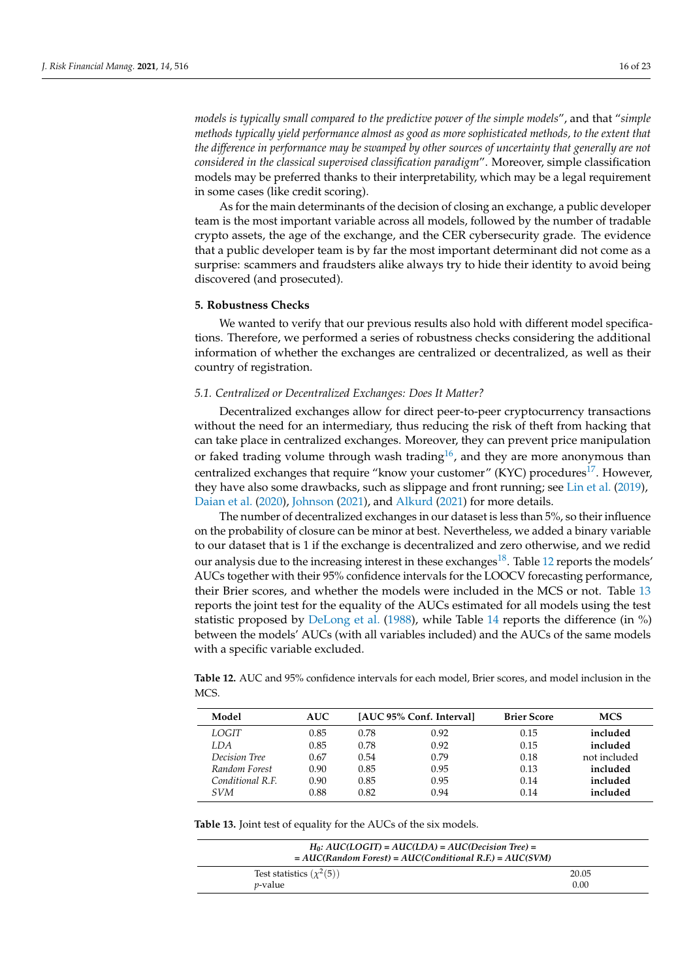*models is typically small compared to the predictive power of the simple models*", and that "*simple methods typically yield performance almost as good as more sophisticated methods, to the extent that the difference in performance may be swamped by other sources of uncertainty that generally are not considered in the classical supervised classification paradigm*". Moreover, simple classification models may be preferred thanks to their interpretability, which may be a legal requirement in some cases (like credit scoring).

As for the main determinants of the decision of closing an exchange, a public developer team is the most important variable across all models, followed by the number of tradable crypto assets, the age of the exchange, and the CER cybersecurity grade. The evidence that a public developer team is by far the most important determinant did not come as a surprise: scammers and fraudsters alike always try to hide their identity to avoid being discovered (and prosecuted).

## <span id="page-15-0"></span>**5. Robustness Checks**

We wanted to verify that our previous results also hold with different model specifications. Therefore, we performed a series of robustness checks considering the additional information of whether the exchanges are centralized or decentralized, as well as their country of registration.

## *5.1. Centralized or Decentralized Exchanges: Does It Matter?*

<span id="page-15-3"></span>Decentralized exchanges allow for direct peer-to-peer cryptocurrency transactions without the need for an intermediary, thus reducing the risk of theft from hacking that can take place in centralized exchanges. Moreover, they can prevent price manipulation or faked trading volume through wash trading<sup>[16](#page-20-22)</sup>, and they are more anonymous than centralized exchanges that require "know your customer" (KYC) procedures<sup>[17](#page-20-23)</sup>. However, they have also some drawbacks, such as slippage and front running; see [Lin et al.](#page-21-30) [\(2019\)](#page-21-30), [Daian et al.](#page-20-24) [\(2020\)](#page-20-24), [Johnson](#page-21-31) [\(2021\)](#page-21-31), and [Alkurd](#page-20-25) [\(2021\)](#page-20-25) for more details.

<span id="page-15-5"></span><span id="page-15-4"></span>The number of decentralized exchanges in our dataset is less than 5%, so their influence on the probability of closure can be minor at best. Nevertheless, we added a binary variable to our dataset that is 1 if the exchange is decentralized and zero otherwise, and we redid our analysis due to the increasing interest in these exchanges<sup>[18](#page-20-26)</sup>. Table [12](#page-15-1) reports the models' AUCs together with their 95% confidence intervals for the LOOCV forecasting performance, their Brier scores, and whether the models were included in the MCS or not. Table [13](#page-15-2) reports the joint test for the equality of the AUCs estimated for all models using the test statistic proposed by [DeLong et al.](#page-21-22) [\(1988\)](#page-21-22), while Table [14](#page-16-0) reports the difference (in %) between the models' AUCs (with all variables included) and the AUCs of the same models with a specific variable excluded.

<span id="page-15-1"></span>**Table 12.** AUC and 95% confidence intervals for each model, Brier scores, and model inclusion in the MCS.

| Model            | <b>AUC</b> |      | [AUC 95% Conf. Interval] | <b>Brier Score</b> | <b>MCS</b>   |
|------------------|------------|------|--------------------------|--------------------|--------------|
| LOGIT            | 0.85       | 0.78 | 0.92                     | 0.15               | included     |
| LDA              | 0.85       | 0.78 | 0.92                     | 0.15               | included     |
| Decision Tree    | 0.67       | 0.54 | 0.79                     | 0.18               | not included |
| Random Forest    | 0.90       | 0.85 | 0.95                     | 0.13               | included     |
| Conditional R.F. | 0.90       | 0.85 | 0.95                     | 0.14               | included     |
| <i>SVM</i>       | 0.88       | 0.82 | 0.94                     | 0.14               | included     |

<span id="page-15-2"></span>**Table 13.** Joint test of equality for the AUCs of the six models.

| $H_0$ : AUC(LOGIT) = AUC(LDA) = AUC(Decision Tree) =<br>$= AUC(Random Forest) = AUC(Conditional R.F.) = AUC(SVM)$ |       |  |  |  |
|-------------------------------------------------------------------------------------------------------------------|-------|--|--|--|
| Test statistics $(\chi^2(5))$                                                                                     | 20.05 |  |  |  |
| <i>v</i> -value                                                                                                   | 0.00  |  |  |  |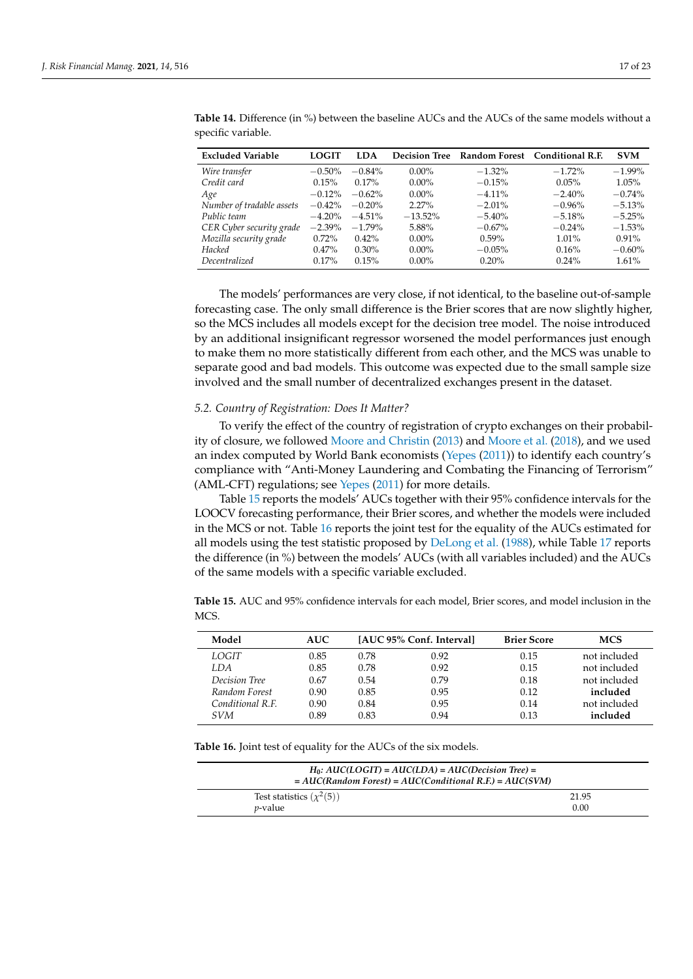| <b>Excluded Variable</b>  | LOGIT     | <b>LDA</b> |            |           | Decision Tree Random Forest Conditional R.F. | <b>SVM</b> |
|---------------------------|-----------|------------|------------|-----------|----------------------------------------------|------------|
| Wire transfer             | $-0.50\%$ | $-0.84\%$  | $0.00\%$   | $-1.32\%$ | $-1.72\%$                                    | $-1.99\%$  |
| Credit card               | 0.15%     | $0.17\%$   | $0.00\%$   | $-0.15%$  | 0.05%                                        | 1.05%      |
| Age                       | $-0.12\%$ | $-0.62\%$  | $0.00\%$   | $-4.11\%$ | $-2.40%$                                     | $-0.74%$   |
| Number of tradable assets | $-0.42\%$ | $-0.20%$   | $2.27\%$   | $-2.01\%$ | $-0.96%$                                     | $-5.13%$   |
| Public team               | $-4.20\%$ | $-4.51\%$  | $-13.52\%$ | $-5.40\%$ | $-5.18%$                                     | $-5.25%$   |
| CER Cyber security grade  | $-2.39\%$ | $-1.79\%$  | 5.88%      | $-0.67\%$ | $-0.24\%$                                    | $-1.53%$   |
| Mozilla security grade    | $0.72\%$  | $0.42\%$   | $0.00\%$   | $0.59\%$  | $1.01\%$                                     | $0.91\%$   |
| Hacked                    | $0.47\%$  | $0.30\%$   | $0.00\%$   | $-0.05\%$ | 0.16%                                        | $-0.60%$   |
| Decentralized             | $0.17\%$  | 0.15%      | $0.00\%$   | 0.20%     | $0.24\%$                                     | 1.61%      |

<span id="page-16-0"></span>**Table 14.** Difference (in %) between the baseline AUCs and the AUCs of the same models without a specific variable.

The models' performances are very close, if not identical, to the baseline out-of-sample forecasting case. The only small difference is the Brier scores that are now slightly higher, so the MCS includes all models except for the decision tree model. The noise introduced by an additional insignificant regressor worsened the model performances just enough to make them no more statistically different from each other, and the MCS was unable to separate good and bad models. This outcome was expected due to the small sample size involved and the small number of decentralized exchanges present in the dataset.

## *5.2. Country of Registration: Does It Matter?*

To verify the effect of the country of registration of crypto exchanges on their probability of closure, we followed [Moore and Christin](#page-22-3) [\(2013\)](#page-22-3) and [Moore et al.](#page-22-5) [\(2018\)](#page-22-5), and we used an index computed by World Bank economists [\(Yepes](#page-22-30) [\(2011\)](#page-22-30)) to identify each country's compliance with "Anti-Money Laundering and Combating the Financing of Terrorism" (AML-CFT) regulations; see [Yepes](#page-22-30) [\(2011\)](#page-22-30) for more details.

Table [15](#page-16-1) reports the models' AUCs together with their 95% confidence intervals for the LOOCV forecasting performance, their Brier scores, and whether the models were included in the MCS or not. Table [16](#page-16-2) reports the joint test for the equality of the AUCs estimated for all models using the test statistic proposed by [DeLong et al.](#page-21-22) [\(1988\)](#page-21-22), while Table [17](#page-17-1) reports the difference (in %) between the models' AUCs (with all variables included) and the AUCs of the same models with a specific variable excluded.

<span id="page-16-1"></span>**Table 15.** AUC and 95% confidence intervals for each model, Brier scores, and model inclusion in the MCS.

| Model            | <b>AUC</b> |      | [AUC 95% Conf. Interval] | <b>Brier Score</b> | <b>MCS</b>   |
|------------------|------------|------|--------------------------|--------------------|--------------|
| LOGIT            | 0.85       | 0.78 | 0.92                     | 0.15               | not included |
| LDA              | 0.85       | 0.78 | 0.92                     | 0.15               | not included |
| Decision Tree    | 0.67       | 0.54 | 0.79                     | 0.18               | not included |
| Random Forest    | 0.90       | 0.85 | 0.95                     | 0.12               | included     |
| Conditional R.F. | 0.90       | 0.84 | 0.95                     | 0.14               | not included |
| <i>SVM</i>       | 0.89       | 0.83 | 0.94                     | 0.13               | included     |

<span id="page-16-2"></span>**Table 16.** Joint test of equality for the AUCs of the six models.

| $H_0$ : AUC(LOGIT) = AUC(LDA) = AUC(Decision Tree) =<br>$= AUC(Random Forest) = AUC(Conditional R.F.) = AUC(SVM)$ |       |  |  |  |
|-------------------------------------------------------------------------------------------------------------------|-------|--|--|--|
| Test statistics $(\chi^2(5))$                                                                                     | 21.95 |  |  |  |
| <i>v</i> -value                                                                                                   | 0.00  |  |  |  |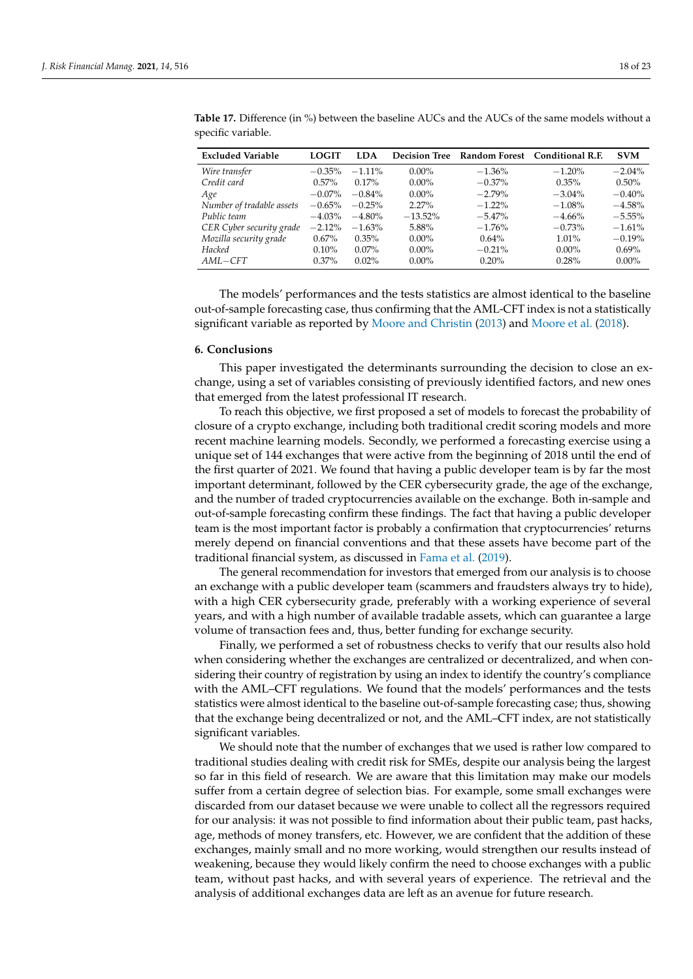| <b>Excluded Variable</b>  | LOGIT     | <b>LDA</b> |           |           | Decision Tree Random Forest Conditional R.F. | <b>SVM</b> |
|---------------------------|-----------|------------|-----------|-----------|----------------------------------------------|------------|
| Wire transfer             | $-0.35\%$ | $-1.11\%$  | $0.00\%$  | $-1.36\%$ | $-1.20%$                                     | $-2.04\%$  |
| Credit card               | $0.57\%$  | $0.17\%$   | $0.00\%$  | $-0.37\%$ | $0.35\%$                                     | $0.50\%$   |
| Age                       | $-0.07\%$ | $-0.84\%$  | $0.00\%$  | $-2.79\%$ | $-3.04\%$                                    | $-0.40%$   |
| Number of tradable assets | $-0.65\%$ | $-0.25%$   | $2.27\%$  | $-1.22\%$ | $-1.08%$                                     | $-4.58%$   |
| Public team               | $-4.03\%$ | $-4.80\%$  | $-13.52%$ | $-5.47\%$ | $-4.66%$                                     | $-5.55%$   |
| CER Cyber security grade  | $-2.12\%$ | $-1.63%$   | 5.88%     | $-1.76%$  | $-0.73%$                                     | $-1.61%$   |
| Mozilla security grade    | $0.67\%$  | $0.35\%$   | $0.00\%$  | $0.64\%$  | $1.01\%$                                     | $-0.19%$   |
| Hacked                    | $0.10\%$  | $0.07\%$   | $0.00\%$  | $-0.21%$  | $0.00\%$                                     | $0.69\%$   |
| $AML-CFT$                 | $0.37\%$  | $0.02\%$   | $0.00\%$  | 0.20%     | 0.28%                                        | $0.00\%$   |

<span id="page-17-1"></span>**Table 17.** Difference (in %) between the baseline AUCs and the AUCs of the same models without a specific variable.

The models' performances and the tests statistics are almost identical to the baseline out-of-sample forecasting case, thus confirming that the AML-CFT index is not a statistically significant variable as reported by [Moore and Christin](#page-22-3) [\(2013\)](#page-22-3) and [Moore et al.](#page-22-5) [\(2018\)](#page-22-5).

## <span id="page-17-0"></span>**6. Conclusions**

This paper investigated the determinants surrounding the decision to close an exchange, using a set of variables consisting of previously identified factors, and new ones that emerged from the latest professional IT research.

To reach this objective, we first proposed a set of models to forecast the probability of closure of a crypto exchange, including both traditional credit scoring models and more recent machine learning models. Secondly, we performed a forecasting exercise using a unique set of 144 exchanges that were active from the beginning of 2018 until the end of the first quarter of 2021. We found that having a public developer team is by far the most important determinant, followed by the CER cybersecurity grade, the age of the exchange, and the number of traded cryptocurrencies available on the exchange. Both in-sample and out-of-sample forecasting confirm these findings. The fact that having a public developer team is the most important factor is probably a confirmation that cryptocurrencies' returns merely depend on financial conventions and that these assets have become part of the traditional financial system, as discussed in [Fama et al.](#page-21-2) [\(2019\)](#page-21-2).

The general recommendation for investors that emerged from our analysis is to choose an exchange with a public developer team (scammers and fraudsters always try to hide), with a high CER cybersecurity grade, preferably with a working experience of several years, and with a high number of available tradable assets, which can guarantee a large volume of transaction fees and, thus, better funding for exchange security.

Finally, we performed a set of robustness checks to verify that our results also hold when considering whether the exchanges are centralized or decentralized, and when considering their country of registration by using an index to identify the country's compliance with the AML–CFT regulations. We found that the models' performances and the tests statistics were almost identical to the baseline out-of-sample forecasting case; thus, showing that the exchange being decentralized or not, and the AML–CFT index, are not statistically significant variables.

We should note that the number of exchanges that we used is rather low compared to traditional studies dealing with credit risk for SMEs, despite our analysis being the largest so far in this field of research. We are aware that this limitation may make our models suffer from a certain degree of selection bias. For example, some small exchanges were discarded from our dataset because we were unable to collect all the regressors required for our analysis: it was not possible to find information about their public team, past hacks, age, methods of money transfers, etc. However, we are confident that the addition of these exchanges, mainly small and no more working, would strengthen our results instead of weakening, because they would likely confirm the need to choose exchanges with a public team, without past hacks, and with several years of experience. The retrieval and the analysis of additional exchanges data are left as an avenue for future research.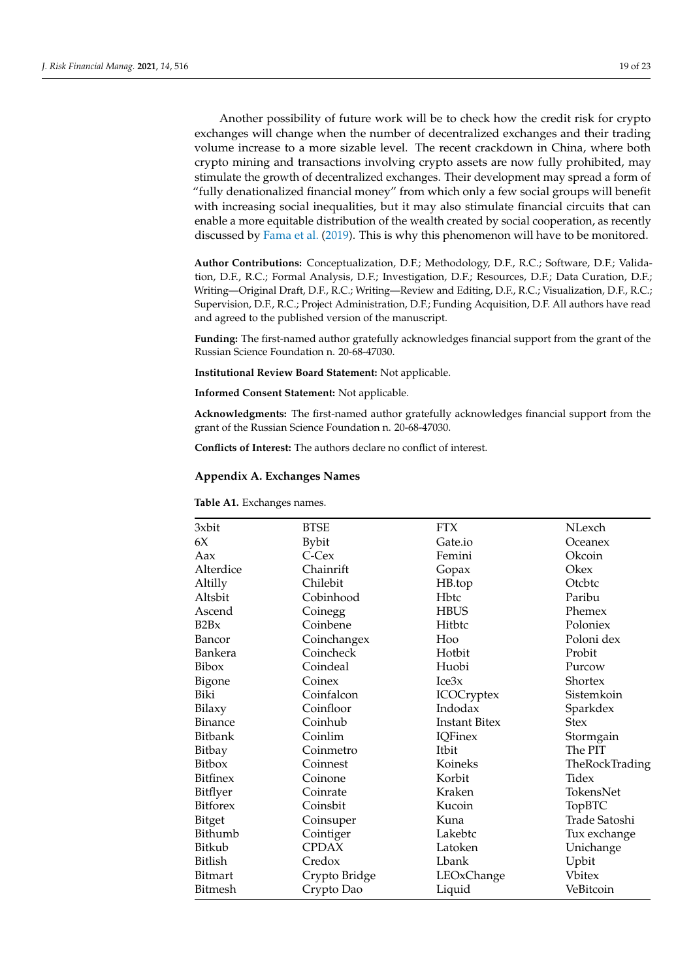Another possibility of future work will be to check how the credit risk for crypto exchanges will change when the number of decentralized exchanges and their trading volume increase to a more sizable level. The recent crackdown in China, where both crypto mining and transactions involving crypto assets are now fully prohibited, may stimulate the growth of decentralized exchanges. Their development may spread a form of "fully denationalized financial money" from which only a few social groups will benefit with increasing social inequalities, but it may also stimulate financial circuits that can enable a more equitable distribution of the wealth created by social cooperation, as recently discussed by [Fama et al.](#page-21-2) [\(2019\)](#page-21-2). This is why this phenomenon will have to be monitored.

**Author Contributions:** Conceptualization, D.F.; Methodology, D.F., R.C.; Software, D.F.; Validation, D.F., R.C.; Formal Analysis, D.F.; Investigation, D.F.; Resources, D.F.; Data Curation, D.F.; Writing—Original Draft, D.F., R.C.; Writing—Review and Editing, D.F., R.C.; Visualization, D.F., R.C.; Supervision, D.F., R.C.; Project Administration, D.F.; Funding Acquisition, D.F. All authors have read and agreed to the published version of the manuscript.

**Funding:** The first-named author gratefully acknowledges financial support from the grant of the Russian Science Foundation n. 20-68-47030.

**Institutional Review Board Statement:** Not applicable.

**Informed Consent Statement:** Not applicable.

**Acknowledgments:** The first-named author gratefully acknowledges financial support from the grant of the Russian Science Foundation n. 20-68-47030.

**Conflicts of Interest:** The authors declare no conflict of interest.

## <span id="page-18-0"></span>**Appendix A. Exchanges Names**

**Table A1.** Exchanges names.

| 3xbit           | <b>BTSE</b>   | <b>FTX</b>           | NLexch         |
|-----------------|---------------|----------------------|----------------|
| 6X              | <b>Bybit</b>  | Gate.io              | Oceanex        |
| Aax             | C-Cex         | Femini               | Okcoin         |
| Alterdice       | Chainrift     | Gopax                | Okex           |
| Altilly         | Chilebit      | HB.top               | Otcbtc         |
| Altsbit         | Cobinhood     | Hbtc                 | Paribu         |
| Ascend          | Coinegg       | <b>HBUS</b>          | Phemex         |
| B2Bx            | Coinbene      | Hitbtc               | Poloniex       |
| Bancor          | Coinchangex   | Hoo                  | Poloni dex     |
| Bankera         | Coincheck     | Hotbit               | Probit         |
| Bibox           | Coindeal      | Huobi                | Purcow         |
| Bigone          | Coinex        | Ice3x                | Shortex        |
| Biki            | Coinfalcon    | <b>ICOCryptex</b>    | Sistemkoin     |
| Bilaxy          | Coinfloor     | Indodax              | Sparkdex       |
| <b>Binance</b>  | Coinhub       | <b>Instant Bitex</b> | Stex           |
| <b>Bitbank</b>  | Coinlim       | <b>IQFinex</b>       | Stormgain      |
| Bitbay          | Coinmetro     | Itbit                | The PIT        |
| Bitbox          | Coinnest      | Koineks              | TheRockTrading |
| <b>Bitfinex</b> | Coinone       | Korbit               | Tidex          |
| Bitflyer        | Coinrate      | Kraken               | TokensNet      |
| <b>Bitforex</b> | Coinsbit      | Kucoin               | TopBTC         |
| Bitget          | Coinsuper     | Kuna                 | Trade Satoshi  |
| Bithumb         | Cointiger     | Lakebtc              | Tux exchange   |
| Bitkub          | <b>CPDAX</b>  | Latoken              | Unichange      |
| <b>Bitlish</b>  | Credox        | Lbank                | Upbit          |
| <b>Bitmart</b>  | Crypto Bridge | LEOxChange           | Vbitex         |
| <b>Bitmesh</b>  | Crypto Dao    | Liquid               | VeBitcoin      |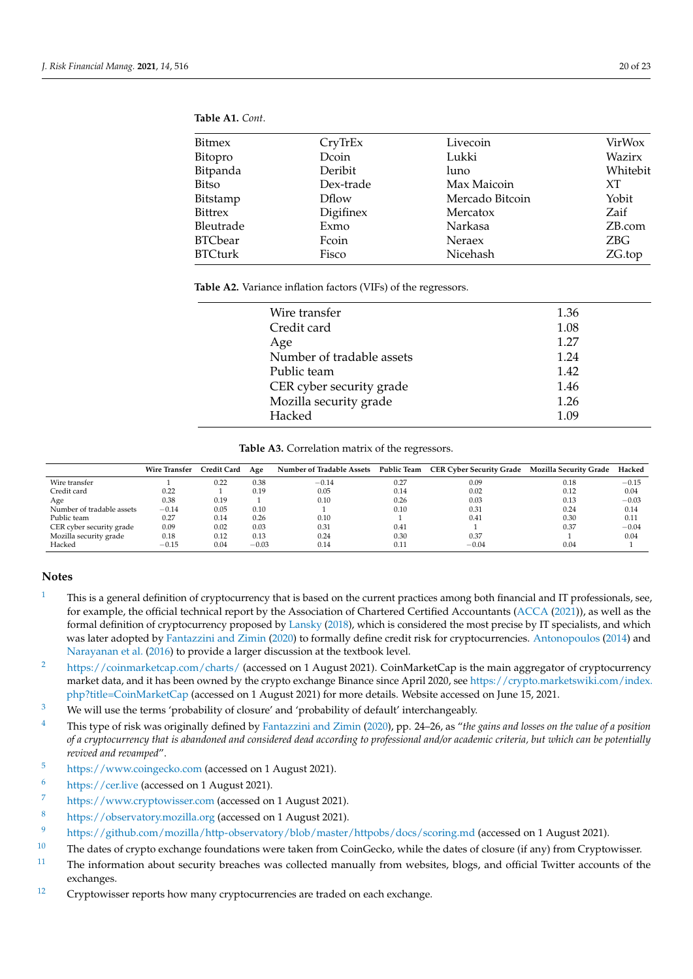<span id="page-19-14"></span>

| Bitmex         | CryTrEx      | Livecoin        | VirWox   |
|----------------|--------------|-----------------|----------|
| Bitopro        | Dcoin        | Lukki           | Wazirx   |
| Bitpanda       | Deribit      | luno            | Whitebit |
| Bitso          | Dex-trade    | Max Maicoin     | XT.      |
| Bitstamp       | <b>Dflow</b> | Mercado Bitcoin | Yobit    |
| <b>Bittrex</b> | Digifinex    | Mercatox        | Zaif     |
| Bleutrade      | Exmo         | Narkasa         | ZB.com   |
| <b>BTCbear</b> | Fcoin        | Neraex          | ZBG      |
| <b>BTCturk</b> | Fisco        | Nicehash        | ZG.top   |
|                |              |                 |          |

#### <span id="page-19-12"></span>**Table A2.** Variance inflation factors (VIFs) of the regressors.

| Wire transfer             | 1.36 |
|---------------------------|------|
| Credit card               | 1.08 |
| Age                       | 1.27 |
| Number of tradable assets | 1.24 |
| Public team               | 1.42 |
| CER cyber security grade  | 1.46 |
| Mozilla security grade    | 1.26 |
| Hacked                    | 1 N9 |
|                           |      |

#### **Table A3.** Correlation matrix of the regressors.

<span id="page-19-13"></span>

|                           | <b>Wire Transfer</b> | Credit Card | Age     | Number of Tradable Assets | <b>Public Team</b> | CER Cyber Security Grade Mozilla Security Grade |      | Hacked  |
|---------------------------|----------------------|-------------|---------|---------------------------|--------------------|-------------------------------------------------|------|---------|
| Wire transfer             |                      | 0.22        | 0.38    | $-0.14$                   | 0.27               | 0.09                                            | 0.18 | $-0.15$ |
| Credit card               | 0.22                 |             | 0.19    | 0.05                      | 0.14               | 0.02                                            | 0.12 | 0.04    |
| Age                       | 0.38                 | 0.19        |         | 0.10                      | 0.26               | 0.03                                            | 0.13 | $-0.03$ |
| Number of tradable assets | $-0.14$              | 0.05        | 0.10    |                           | 0.10               | 0.31                                            | 0.24 | 0.14    |
| Public team               | 0.27                 | 0.14        | 0.26    | 0.10                      |                    | 0.41                                            | 0.30 | 0.11    |
| CER cyber security grade  | 0.09                 | 0.02        | 0.03    | 0.31                      | 0.41               |                                                 | 0.37 | $-0.04$ |
| Mozilla security grade    | 0.18                 | 0.12        | 0.13    | 0.24                      | 0.30               | 0.37                                            |      | 0.04    |
| Hacked                    | $-0.15$              | 0.04        | $-0.03$ | 0.14                      | 0.11               | $-0.04$                                         | 0.04 |         |

## **Notes**

- <span id="page-19-0"></span> $1 1 -$ This is a general definition of cryptocurrency that is based on the current practices among both financial and IT professionals, see, for example, the official technical report by the Association of Chartered Certified Accountants [\(ACCA](#page-20-27) [\(2021\)](#page-20-27)), as well as the formal definition of cryptocurrency proposed by [Lansky](#page-21-32) [\(2018\)](#page-21-32), which is considered the most precise by IT specialists, and which was later adopted by [Fantazzini and Zimin](#page-21-33) [\(2020\)](#page-21-33) to formally define credit risk for cryptocurrencies. [Antonopoulos](#page-20-28) [\(2014\)](#page-20-28) and [Narayanan et al.](#page-22-31) [\(2016\)](#page-22-31) to provide a larger discussion at the textbook level.
- <span id="page-19-1"></span><sup>[2](#page-1-1)</sup> <https://coinmarketcap.com/charts/> (accessed on 1 August 2021). CoinMarketCap is the main aggregator of cryptocurrency market data, and it has been owned by the crypto exchange Binance since April 2020, see [https://crypto.marketswiki.com/index.](https://crypto.marketswiki.com/index.php?title=CoinMarketCap) [php?title=CoinMarketCap](https://crypto.marketswiki.com/index.php?title=CoinMarketCap) (accessed on 1 August 2021) for more details. Website accessed on June 15, 2021.
- <span id="page-19-2"></span><sup>[3](#page-1-2)</sup> We will use the terms 'probability of closure' and 'probability of default' interchangeably.
- <span id="page-19-3"></span>[4](#page-2-0) This type of risk was originally defined by [Fantazzini and Zimin](#page-21-33) [\(2020\)](#page-21-33), pp. 24–26, as "*the gains and losses on the value of a position of a cryptocurrency that is abandoned and considered dead according to professional and/or academic criteria, but which can be potentially revived and revamped*".
- <span id="page-19-4"></span>[5](#page-7-1) <https://www.coingecko.com> (accessed on 1 August 2021).
- <span id="page-19-5"></span>[6](#page-7-2) <https://cer.live> (accessed on 1 August 2021).
- <span id="page-19-6"></span>[7](#page-7-3) <https://www.cryptowisser.com> (accessed on 1 August 2021).
- <span id="page-19-7"></span>[8](#page-7-4) <https://observatory.mozilla.org> (accessed on 1 August 2021).
- <span id="page-19-8"></span>[9](#page-8-0) <https://github.com/mozilla/http-observatory/blob/master/httpobs/docs/scoring.md> (accessed on 1 August 2021).
- <span id="page-19-9"></span>[10](#page-9-1) The dates of crypto exchange foundations were taken from CoinGecko, while the dates of closure (if any) from Cryptowisser.
- <span id="page-19-10"></span><sup>[11](#page-9-2)</sup> The information about security breaches was collected manually from websites, blogs, and official Twitter accounts of the exchanges.
- <span id="page-19-11"></span><sup>[12](#page-9-3)</sup> Cryptowisser reports how many cryptocurrencies are traded on each exchange.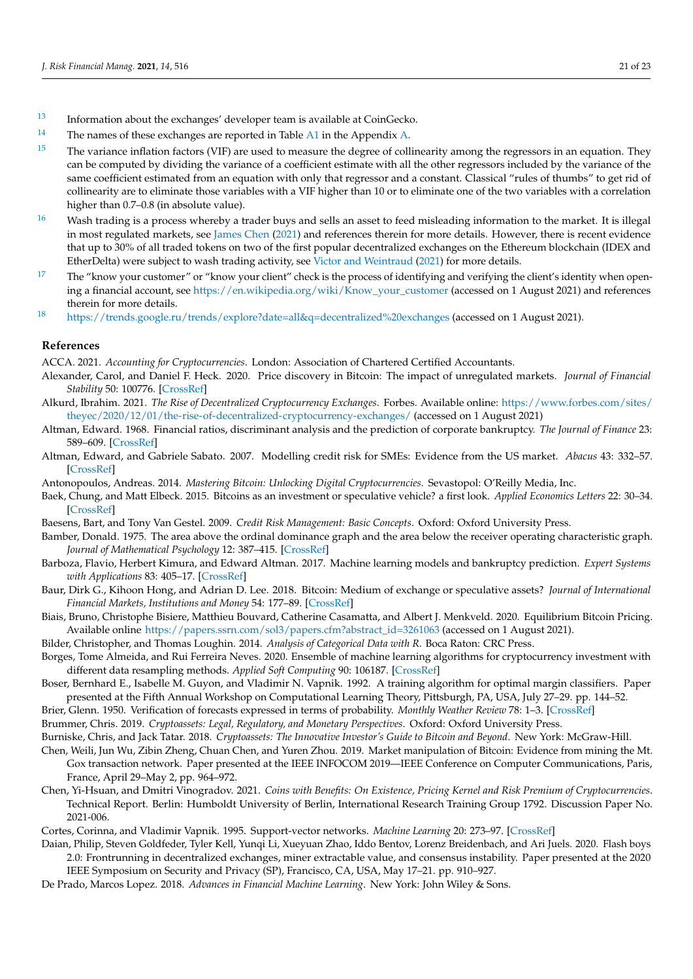- <span id="page-20-18"></span>[13](#page-9-4) Information about the exchanges' developer team is available at CoinGecko.
- <span id="page-20-19"></span><sup>[14](#page-9-5)</sup> The names of these exchanges are reported in Table  $\overline{A1}$  $\overline{A1}$  $\overline{A1}$  in the Appendix [A.](#page-18-0)
- <span id="page-20-20"></span> $15$  The variance inflation factors (VIF) are used to measure the degree of collinearity among the regressors in an equation. They can be computed by dividing the variance of a coefficient estimate with all the other regressors included by the variance of the same coefficient estimated from an equation with only that regressor and a constant. Classical "rules of thumbs" to get rid of collinearity are to eliminate those variables with a VIF higher than 10 or to eliminate one of the two variables with a correlation higher than 0.7–0.8 (in absolute value).
- <span id="page-20-22"></span> $16$  Wash trading is a process whereby a trader buys and sells an asset to feed misleading information to the market. It is illegal in most regulated markets, see [James Chen](#page-21-34) [\(2021\)](#page-21-34) and references therein for more details. However, there is recent evidence that up to 30% of all traded tokens on two of the first popular decentralized exchanges on the Ethereum blockchain (IDEX and EtherDelta) were subject to wash trading activity, see [Victor and Weintraud](#page-22-32) [\(2021\)](#page-22-32) for more details.
- <span id="page-20-23"></span><sup>[17](#page-15-4)</sup> The "know your customer" or "know your client" check is the process of identifying and verifying the client's identity when opening a financial account, see [https://en.wikipedia.org/wiki/Know\\_your\\_customer](https://en.wikipedia.org/wiki/Know_your_customer) (accessed on 1 August 2021) and references therein for more details.
- <span id="page-20-26"></span>[18](#page-15-5) <https://trends.google.ru/trends/explore?date=all&q=decentralized%20exchanges> (accessed on 1 August 2021).

#### **References**

<span id="page-20-27"></span>ACCA. 2021. *Accounting for Cryptocurrencies*. London: Association of Chartered Certified Accountants.

- <span id="page-20-7"></span>Alexander, Carol, and Daniel F. Heck. 2020. Price discovery in Bitcoin: The impact of unregulated markets. *Journal of Financial Stability* 50: 100776. [\[CrossRef\]](http://doi.org/10.1016/j.jfs.2020.100776)
- <span id="page-20-25"></span>Alkurd, Ibrahim. 2021. *The Rise of Decentralized Cryptocurrency Exchanges*. Forbes. Available online: [https://www.forbes.com/sites/](https://www.forbes.com/sites/theyec/2020/12/01/the-rise-of-decentralized-cryptocurrency-exchanges/) [theyec/2020/12/01/the-rise-of-decentralized-cryptocurrency-exchanges/](https://www.forbes.com/sites/theyec/2020/12/01/the-rise-of-decentralized-cryptocurrency-exchanges/) (accessed on 1 August 2021)
- <span id="page-20-12"></span>Altman, Edward. 1968. Financial ratios, discriminant analysis and the prediction of corporate bankruptcy. *The Journal of Finance* 23: 589–609. [\[CrossRef\]](http://dx.doi.org/10.1111/j.1540-6261.1968.tb00843.x)
- <span id="page-20-13"></span>Altman, Edward, and Gabriele Sabato. 2007. Modelling credit risk for SMEs: Evidence from the US market. *Abacus* 43: 332–57. [\[CrossRef\]](http://dx.doi.org/10.1111/j.1467-6281.2007.00234.x)
- <span id="page-20-28"></span>Antonopoulos, Andreas. 2014. *Mastering Bitcoin: Unlocking Digital Cryptocurrencies*. Sevastopol: O'Reilly Media, Inc.
- <span id="page-20-3"></span>Baek, Chung, and Matt Elbeck. 2015. Bitcoins as an investment or speculative vehicle? a first look. *Applied Economics Letters* 22: 30–34. [\[CrossRef\]](http://dx.doi.org/10.1080/13504851.2014.916379)
- <span id="page-20-9"></span>Baesens, Bart, and Tony Van Gestel. 2009. *Credit Risk Management: Basic Concepts*. Oxford: Oxford University Press.
- <span id="page-20-16"></span>Bamber, Donald. 1975. The area above the ordinal dominance graph and the area below the receiver operating characteristic graph. *Journal of Mathematical Psychology* 12: 387–415. [\[CrossRef\]](http://dx.doi.org/10.1016/0022-2496(75)90001-2)
- <span id="page-20-8"></span>Barboza, Flavio, Herbert Kimura, and Edward Altman. 2017. Machine learning models and bankruptcy prediction. *Expert Systems with Applications* 83: 405–17. [\[CrossRef\]](http://dx.doi.org/10.1016/j.eswa.2017.04.006)
- <span id="page-20-2"></span>Baur, Dirk G., Kihoon Hong, and Adrian D. Lee. 2018. Bitcoin: Medium of exchange or speculative assets? *Journal of International Financial Markets, Institutions and Money* 54: 177–89. [\[CrossRef\]](http://dx.doi.org/10.1016/j.intfin.2017.12.004)
- <span id="page-20-4"></span>Biais, Bruno, Christophe Bisiere, Matthieu Bouvard, Catherine Casamatta, and Albert J. Menkveld. 2020. Equilibrium Bitcoin Pricing. Available online [https://papers.ssrn.com/sol3/papers.cfm?abstract\\_id=3261063](https://papers.ssrn.com/sol3/papers.cfm?abstract_id=3261063) (accessed on 1 August 2021).

<span id="page-20-21"></span>Bilder, Christopher, and Thomas Loughin. 2014. *Analysis of Categorical Data with R*. Boca Raton: CRC Press.

- <span id="page-20-11"></span>Borges, Tome Almeida, and Rui Ferreira Neves. 2020. Ensemble of machine learning algorithms for cryptocurrency investment with different data resampling methods. *Applied Soft Computing* 90: 106187. [\[CrossRef\]](http://dx.doi.org/10.1016/j.asoc.2020.106187)
- <span id="page-20-14"></span>Boser, Bernhard E., Isabelle M. Guyon, and Vladimir N. Vapnik. 1992. A training algorithm for optimal margin classifiers. Paper presented at the Fifth Annual Workshop on Computational Learning Theory, Pittsburgh, PA, USA, July 27–29. pp. 144–52.
- <span id="page-20-17"></span>Brier, Glenn. 1950. Verification of forecasts expressed in terms of probability. *Monthly Weather Review* 78: 1–3. [\[CrossRef\]](http://dx.doi.org/10.1175/1520-0493(1950)078<0001:VOFEIT>2.0.CO;2)
- <span id="page-20-1"></span>Brummer, Chris. 2019. *Cryptoassets: Legal, Regulatory, and Monetary Perspectives*. Oxford: Oxford University Press.

<span id="page-20-0"></span>Burniske, Chris, and Jack Tatar. 2018. *Cryptoassets: The Innovative Investor's Guide to Bitcoin and Beyond*. New York: McGraw-Hill.

- <span id="page-20-6"></span>Chen, Weili, Jun Wu, Zibin Zheng, Chuan Chen, and Yuren Zhou. 2019. Market manipulation of Bitcoin: Evidence from mining the Mt. Gox transaction network. Paper presented at the IEEE INFOCOM 2019—IEEE Conference on Computer Communications, Paris, France, April 29–May 2, pp. 964–972.
- <span id="page-20-5"></span>Chen, Yi-Hsuan, and Dmitri Vinogradov. 2021. *Coins with Benefits: On Existence, Pricing Kernel and Risk Premium of Cryptocurrencies*. Technical Report. Berlin: Humboldt University of Berlin, International Research Training Group 1792. Discussion Paper No. 2021-006.
- <span id="page-20-15"></span>Cortes, Corinna, and Vladimir Vapnik. 1995. Support-vector networks. *Machine Learning* 20: 273–97. [\[CrossRef\]](http://dx.doi.org/10.1007/BF00994018)
- <span id="page-20-24"></span>Daian, Philip, Steven Goldfeder, Tyler Kell, Yunqi Li, Xueyuan Zhao, Iddo Bentov, Lorenz Breidenbach, and Ari Juels. 2020. Flash boys 2.0: Frontrunning in decentralized exchanges, miner extractable value, and consensus instability. Paper presented at the 2020 IEEE Symposium on Security and Privacy (SP), Francisco, CA, USA, May 17–21. pp. 910–927.
- <span id="page-20-10"></span>De Prado, Marcos Lopez. 2018. *Advances in Financial Machine Learning*. New York: John Wiley & Sons.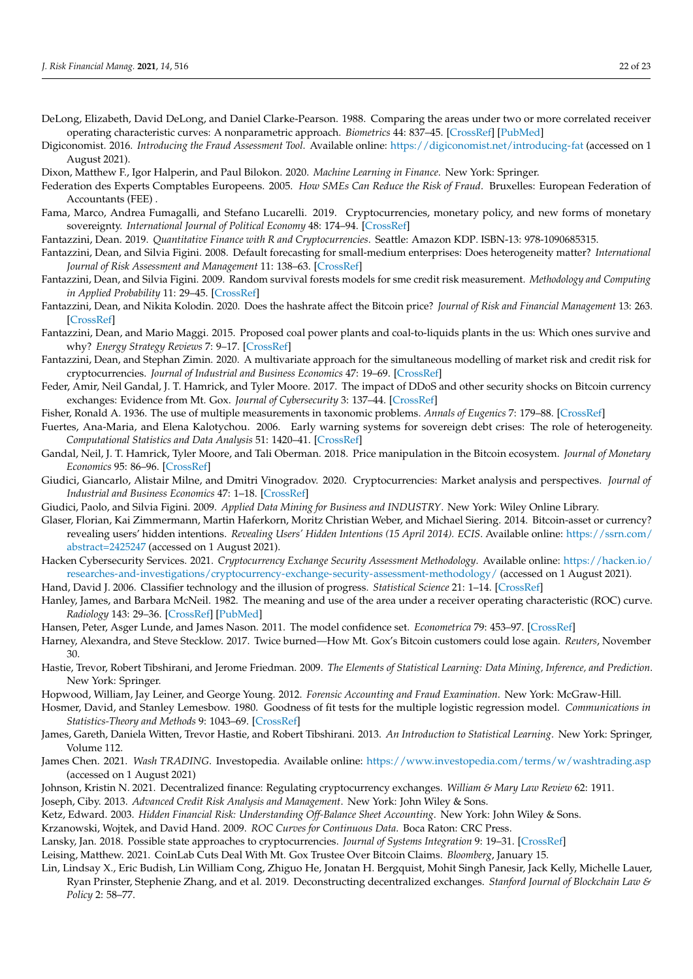- <span id="page-21-22"></span>DeLong, Elizabeth, David DeLong, and Daniel Clarke-Pearson. 1988. Comparing the areas under two or more correlated receiver operating characteristic curves: A nonparametric approach. *Biometrics* 44: 837–45. [\[CrossRef\]](http://dx.doi.org/10.2307/2531595) [\[PubMed\]](http://www.ncbi.nlm.nih.gov/pubmed/3203132)
- <span id="page-21-27"></span>Digiconomist. 2016. *Introducing the Fraud Assessment Tool*. Available online: <https://digiconomist.net/introducing-fat> (accessed on 1 August 2021).
- <span id="page-21-14"></span>Dixon, Matthew F., Igor Halperin, and Paul Bilokon. 2020. *Machine Learning in Finance*. New York: Springer.
- <span id="page-21-9"></span>Federation des Experts Comptables Europeens. 2005. *How SMEs Can Reduce the Risk of Fraud*. Bruxelles: European Federation of Accountants (FEE) .
- <span id="page-21-2"></span>Fama, Marco, Andrea Fumagalli, and Stefano Lucarelli. 2019. Cryptocurrencies, monetary policy, and new forms of monetary sovereignty. *International Journal of Political Economy* 48: 174–94. [\[CrossRef\]](http://dx.doi.org/10.1080/08911916.2019.1624318)
- <span id="page-21-0"></span>Fantazzini, Dean. 2019. *Quantitative Finance with R and Cryptocurrencies*. Seattle: Amazon KDP. ISBN-13: 978-1090685315.
- <span id="page-21-16"></span>Fantazzini, Dean, and Silvia Figini. 2008. Default forecasting for small-medium enterprises: Does heterogeneity matter? *International Journal of Risk Assessment and Management* 11: 138–63. [\[CrossRef\]](http://dx.doi.org/10.1504/IJRAM.2009.022202)
- <span id="page-21-17"></span>Fantazzini, Dean, and Silvia Figini. 2009. Random survival forests models for sme credit risk measurement. *Methodology and Computing in Applied Probability* 11: 29–45. [\[CrossRef\]](http://dx.doi.org/10.1007/s11009-008-9078-2)
- <span id="page-21-26"></span>Fantazzini, Dean, and Nikita Kolodin. 2020. Does the hashrate affect the Bitcoin price? *Journal of Risk and Financial Management* 13: 263. [\[CrossRef\]](http://dx.doi.org/10.3390/jrfm13110263)
- <span id="page-21-25"></span>Fantazzini, Dean, and Mario Maggi. 2015. Proposed coal power plants and coal-to-liquids plants in the us: Which ones survive and why? *Energy Strategy Reviews* 7: 9–17. [\[CrossRef\]](http://dx.doi.org/10.1016/j.esr.2014.11.005)
- <span id="page-21-33"></span>Fantazzini, Dean, and Stephan Zimin. 2020. A multivariate approach for the simultaneous modelling of market risk and credit risk for cryptocurrencies. *Journal of Industrial and Business Economics* 47: 19–69. [\[CrossRef\]](http://dx.doi.org/10.1007/s40812-019-00136-8)
- <span id="page-21-4"></span>Feder, Amir, Neil Gandal, J. T. Hamrick, and Tyler Moore. 2017. The impact of DDoS and other security shocks on Bitcoin currency exchanges: Evidence from Mt. Gox. *Journal of Cybersecurity* 3: 137–44. [\[CrossRef\]](http://dx.doi.org/10.1093/cybsec/tyx012)
- <span id="page-21-18"></span>Fisher, Ronald A. 1936. The use of multiple measurements in taxonomic problems. *Annals of Eugenics* 7: 179–88. [\[CrossRef\]](http://dx.doi.org/10.1111/j.1469-1809.1936.tb02137.x)
- <span id="page-21-15"></span>Fuertes, Ana-Maria, and Elena Kalotychou. 2006. Early warning systems for sovereign debt crises: The role of heterogeneity. *Computational Statistics and Data Analysis* 51: 1420–41. [\[CrossRef\]](http://dx.doi.org/10.1016/j.csda.2006.08.023)
- <span id="page-21-5"></span>Gandal, Neil, J. T. Hamrick, Tyler Moore, and Tali Oberman. 2018. Price manipulation in the Bitcoin ecosystem. *Journal of Monetary Economics* 95: 86–96. [\[CrossRef\]](http://dx.doi.org/10.1016/j.jmoneco.2017.12.004)
- <span id="page-21-3"></span>Giudici, Giancarlo, Alistair Milne, and Dmitri Vinogradov. 2020. Cryptocurrencies: Market analysis and perspectives. *Journal of Industrial and Business Economics* 47: 1–18. [\[CrossRef\]](http://dx.doi.org/10.1007/s40812-019-00138-6)
- <span id="page-21-20"></span>Giudici, Paolo, and Silvia Figini. 2009. *Applied Data Mining for Business and INDUSTRY*. New York: Wiley Online Library.
- <span id="page-21-1"></span>Glaser, Florian, Kai Zimmermann, Martin Haferkorn, Moritz Christian Weber, and Michael Siering. 2014. Bitcoin-asset or currency? revealing users' hidden intentions. *Revealing Users' Hidden Intentions (15 April 2014). ECIS*. Available online: [https://ssrn.com/](https://ssrn.com/abstract=2425247) [abstract=2425247](https://ssrn.com/abstract=2425247) (accessed on 1 August 2021).
- <span id="page-21-6"></span>Hacken Cybersecurity Services. 2021. *Cryptocurrency Exchange Security Assessment Methodology*. Available online: [https://hacken.io/](https://hacken.io/researches-and-investigations/cryptocurrency-exchange-security-assessment-methodology/) [researches-and-investigations/cryptocurrency-exchange-security-assessment-methodology/](https://hacken.io/researches-and-investigations/cryptocurrency-exchange-security-assessment-methodology/) (accessed on 1 August 2021).
- <span id="page-21-29"></span>Hand, David J. 2006. Classifier technology and the illusion of progress. *Statistical Science* 21: 1–14. [\[CrossRef\]](http://dx.doi.org/10.1214/088342306000000060)
- <span id="page-21-21"></span>Hanley, James, and Barbara McNeil. 1982. The meaning and use of the area under a receiver operating characteristic (ROC) curve. *Radiology* 143: 29–36. [\[CrossRef\]](http://dx.doi.org/10.1148/radiology.143.1.7063747) [\[PubMed\]](http://www.ncbi.nlm.nih.gov/pubmed/7063747)
- <span id="page-21-24"></span>Hansen, Peter, Asger Lunde, and James Nason. 2011. The model confidence set. *Econometrica* 79: 453–97. [\[CrossRef\]](http://dx.doi.org/10.2139/ssrn.522382)
- <span id="page-21-7"></span>Harney, Alexandra, and Steve Stecklow. 2017. Twice burned—How Mt. Gox's Bitcoin customers could lose again. *Reuters*, November 30.
- <span id="page-21-19"></span>Hastie, Trevor, Robert Tibshirani, and Jerome Friedman. 2009. *The Elements of Statistical Learning: Data Mining, Inference, and Prediction*. New York: Springer.
- <span id="page-21-11"></span>Hopwood, William, Jay Leiner, and George Young. 2012. *Forensic Accounting and Fraud Examination*. New York: McGraw-Hill.
- <span id="page-21-28"></span>Hosmer, David, and Stanley Lemesbow. 1980. Goodness of fit tests for the multiple logistic regression model. *Communications in Statistics-Theory and Methods* 9: 1043–69. [\[CrossRef\]](http://dx.doi.org/10.1080/03610928008827941)
- <span id="page-21-13"></span>James, Gareth, Daniela Witten, Trevor Hastie, and Robert Tibshirani. 2013. *An Introduction to Statistical Learning*. New York: Springer, Volume 112.
- <span id="page-21-34"></span>James Chen. 2021. *Wash TRADING*. Investopedia. Available online: <https://www.investopedia.com/terms/w/washtrading.asp> (accessed on 1 August 2021)
- <span id="page-21-31"></span>Johnson, Kristin N. 2021. Decentralized finance: Regulating cryptocurrency exchanges. *William & Mary Law Review* 62: 1911.

<span id="page-21-12"></span><span id="page-21-10"></span>Joseph, Ciby. 2013. *Advanced Credit Risk Analysis and Management*. New York: John Wiley & Sons.

- Ketz, Edward. 2003. *Hidden Financial Risk: Understanding Off-Balance Sheet Accounting*. New York: John Wiley & Sons.
- <span id="page-21-23"></span>Krzanowski, Wojtek, and David Hand. 2009. *ROC Curves for Continuous Data*. Boca Raton: CRC Press.
- <span id="page-21-32"></span>Lansky, Jan. 2018. Possible state approaches to cryptocurrencies. *Journal of Systems Integration* 9: 19–31. [\[CrossRef\]](http://dx.doi.org/10.20470/jsi.v9i1.335)
- <span id="page-21-30"></span><span id="page-21-8"></span>Leising, Matthew. 2021. CoinLab Cuts Deal With Mt. Gox Trustee Over Bitcoin Claims. *Bloomberg*, January 15.
- Lin, Lindsay X., Eric Budish, Lin William Cong, Zhiguo He, Jonatan H. Bergquist, Mohit Singh Panesir, Jack Kelly, Michelle Lauer, Ryan Prinster, Stephenie Zhang, and et al. 2019. Deconstructing decentralized exchanges. *Stanford Journal of Blockchain Law & Policy* 2: 58–77.